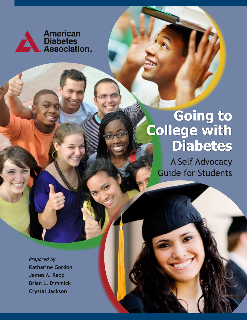

# **Going to College with Diabetes**

A Self Advocacy Guide for Students

*Prepared by* **Katharine Gordon James A. Rapp Brian L. Dimmick Crystal Jackson**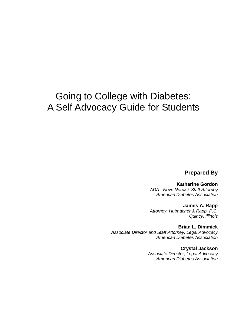## Going to College with Diabetes: A Self Advocacy Guide for Students

**Prepared By**

**Katharine Gordon** *ADA - Novo Nordisk Staff Attorney American Diabetes Association*

**James A. Rapp** *Attorney, Hutmacher & Rapp, P.C. Quincy, Illinois*

**Brian L. Dimmick** *Associate Director and Staff Attorney, Legal Advocacy American Diabetes Association*

> **Crystal Jackson** *Associate Director, Legal Advocacy American Diabetes Association*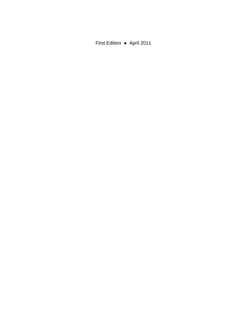First Edition ● April 2011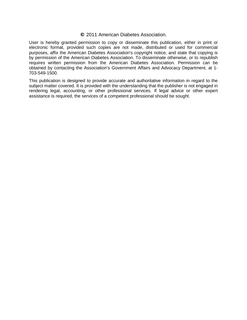#### **©** 2011 American Diabetes Association.

User is hereby granted permission to copy or disseminate this publication, either in print or electronic format, provided such copies are not made, distributed or used for commercial purposes, affix the American Diabetes Association's copyright notice, and state that copying is by permission of the American Diabetes Association. To disseminate otherwise, or to republish requires written permission from the American Diabetes Association. Permission can be obtained by contacting the Association's Government Affairs and Advocacy Department, at 1- 703-549-1500.

This publication is designed to provide accurate and authoritative information in regard to the subject matter covered. It is provided with the understanding that the publisher is not engaged in rendering legal, accounting, or other professional services. If legal advice or other expert assistance is required, the services of a competent professional should be sought.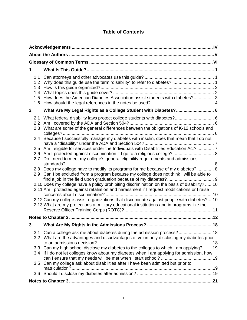## **Table of Contents**

| 1.                                                                                                                                                                                                                                                                                                                                                                                                                                                                                                                                                                                                                                                                                                                                                                                                                                                                                                                                                                                                                                                                                       |  |  |  |
|------------------------------------------------------------------------------------------------------------------------------------------------------------------------------------------------------------------------------------------------------------------------------------------------------------------------------------------------------------------------------------------------------------------------------------------------------------------------------------------------------------------------------------------------------------------------------------------------------------------------------------------------------------------------------------------------------------------------------------------------------------------------------------------------------------------------------------------------------------------------------------------------------------------------------------------------------------------------------------------------------------------------------------------------------------------------------------------|--|--|--|
| 1.1<br>1.2<br>1.3<br>1.4<br>How does the American Diabetes Association assist students with diabetes? 3<br>1.5<br>1.6                                                                                                                                                                                                                                                                                                                                                                                                                                                                                                                                                                                                                                                                                                                                                                                                                                                                                                                                                                    |  |  |  |
| What Are My Legal Rights as a College Student with Diabetes? 6<br>2.                                                                                                                                                                                                                                                                                                                                                                                                                                                                                                                                                                                                                                                                                                                                                                                                                                                                                                                                                                                                                     |  |  |  |
| What federal disability laws protect college students with diabetes? 6<br>2.1<br>2.2<br>What are some of the general differences between the obligations of K-12 schools and<br>2.3<br>2.4 Because I successfully manage my diabetes with insulin, does that mean that I do not<br>Am I eligible for services under the Individuals with Disabilities Education Act?  7<br>$2.5^{\circ}$<br>2.6<br>Do I need to meet my college's general eligibility requirements and admissions<br>2.7 <sub>2</sub><br>Does my college have to modify its programs for me because of my diabetes?  8<br>2.8<br>Can I be excluded from a program because my college does not think I will be able to<br>2.9<br>2.10 Does my college have a policy prohibiting discrimination on the basis of disability? 10<br>2.11 Am I protected against retaliation and harassment if I request modifications or I raise<br>2.12 Can my college assist organizations that discriminate against people with diabetes?10<br>2.13 What are my protections at military educational institutions and in programs like the |  |  |  |
|                                                                                                                                                                                                                                                                                                                                                                                                                                                                                                                                                                                                                                                                                                                                                                                                                                                                                                                                                                                                                                                                                          |  |  |  |
| .18                                                                                                                                                                                                                                                                                                                                                                                                                                                                                                                                                                                                                                                                                                                                                                                                                                                                                                                                                                                                                                                                                      |  |  |  |
| 3.                                                                                                                                                                                                                                                                                                                                                                                                                                                                                                                                                                                                                                                                                                                                                                                                                                                                                                                                                                                                                                                                                       |  |  |  |
| 3.1 Can a college ask me about diabetes during the admission process? 18<br>3.2 What are the advantages and disadvantages of voluntarily disclosing my diabetes prior<br>3.3 Can my high school disclose my diabetes to the colleges to which I am applying?19<br>3.4 If I do not let colleges know about my diabetes when I am applying for admission, how<br>Can my college ask about disabilities after I have been admitted but prior to<br>3.5                                                                                                                                                                                                                                                                                                                                                                                                                                                                                                                                                                                                                                      |  |  |  |
|                                                                                                                                                                                                                                                                                                                                                                                                                                                                                                                                                                                                                                                                                                                                                                                                                                                                                                                                                                                                                                                                                          |  |  |  |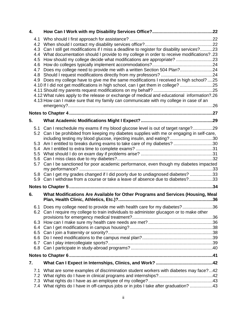| 4.                                                          |                                                                                                                                                                                                                                                                                                                                                                                                                                                                                                                                                                                                                                                                                                             |  |
|-------------------------------------------------------------|-------------------------------------------------------------------------------------------------------------------------------------------------------------------------------------------------------------------------------------------------------------------------------------------------------------------------------------------------------------------------------------------------------------------------------------------------------------------------------------------------------------------------------------------------------------------------------------------------------------------------------------------------------------------------------------------------------------|--|
| 4.1<br>4.2<br>4.3<br>4.4<br>4.5<br>4.6<br>4.7<br>4.8<br>4.9 | Can I still get modifications if I miss a deadline to register for disability services?23<br>23. ?What documentation should I provide to my college in order to receive modifications?<br>How should my college decide what modifications are appropriate? 23<br>Does my college need to provide me with a written Section 504 Plan?24<br>Does my college have to give me the same modifications I received in high school? 25<br>4.10 If I did not get modifications in high school, can I get them in college? 25<br>4.12 What rules apply to the release or exchange of medical and educational information?.26<br>4.13 How can I make sure that my family can communicate with my college in case of an |  |
|                                                             |                                                                                                                                                                                                                                                                                                                                                                                                                                                                                                                                                                                                                                                                                                             |  |
| 5.                                                          |                                                                                                                                                                                                                                                                                                                                                                                                                                                                                                                                                                                                                                                                                                             |  |
| 5.1<br>5.3<br>5.4<br>5.5<br>5.6<br>5.7                      | Can I reschedule my exams if my blood glucose level is out of target range?29<br>5.2 Can I be prohibited from keeping my diabetes supplies with me or engaging in self-care,<br>including testing my blood glucose, injecting insulin, and eating?30<br>Am I entitled to breaks during exams to take care of my diabetes? 30<br>Can I be sanctioned for poor academic performance, even though my diabetes impacted<br>5.8 Can I get my grades changed if I did poorly due to undiagnosed diabetes? 33<br>5.9 Can I withdraw from a course or take a leave of absence due to diabetes?33                                                                                                                    |  |
|                                                             |                                                                                                                                                                                                                                                                                                                                                                                                                                                                                                                                                                                                                                                                                                             |  |
| 6.                                                          | What Modifications Are Available for Other Programs and Services (Housing, Meal                                                                                                                                                                                                                                                                                                                                                                                                                                                                                                                                                                                                                             |  |
| 6.1<br>6.3<br>6.4                                           | Does my college need to provide me with health care for my diabetes?36<br>6.2 Can I require my college to train individuals to administer glucagon or to make other                                                                                                                                                                                                                                                                                                                                                                                                                                                                                                                                         |  |
| 6.6<br>6.8                                                  |                                                                                                                                                                                                                                                                                                                                                                                                                                                                                                                                                                                                                                                                                                             |  |
|                                                             |                                                                                                                                                                                                                                                                                                                                                                                                                                                                                                                                                                                                                                                                                                             |  |
| 7.                                                          |                                                                                                                                                                                                                                                                                                                                                                                                                                                                                                                                                                                                                                                                                                             |  |
| 7.1<br>7.2<br>7.3                                           | What are some examples of discrimination student workers with diabetes may face?42<br>7.4 What rights do I have in off-campus jobs or in jobs I take after graduation? 43                                                                                                                                                                                                                                                                                                                                                                                                                                                                                                                                   |  |

ii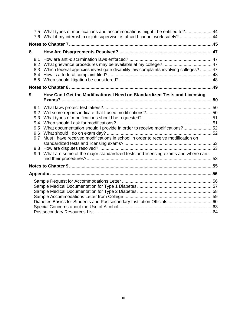|                                                      | 7.5 What types of modifications and accommodations might I be entitled to?44                                                                                                                                                                      |  |  |
|------------------------------------------------------|---------------------------------------------------------------------------------------------------------------------------------------------------------------------------------------------------------------------------------------------------|--|--|
|                                                      | 7.6 What if my internship or job supervisor is afraid I cannot work safely?44                                                                                                                                                                     |  |  |
|                                                      |                                                                                                                                                                                                                                                   |  |  |
| 8.                                                   |                                                                                                                                                                                                                                                   |  |  |
| 8.1<br>8.2<br>8.3<br>8.4<br>8.5                      | Which federal agencies investigate disability law complaints involving colleges? 47                                                                                                                                                               |  |  |
|                                                      |                                                                                                                                                                                                                                                   |  |  |
| 9.                                                   | How Can I Get the Modifications I Need on Standardized Tests and Licensing                                                                                                                                                                        |  |  |
| 9.1<br>9.2<br>9.3<br>9.4<br>9.5<br>9.6<br>9.7<br>9.9 | What documentation should I provide in order to receive modifications?52<br>Must I have received modifications in school in order to receive modification on<br>What are some of the major standardized tests and licensing exams and where can I |  |  |
|                                                      |                                                                                                                                                                                                                                                   |  |  |
|                                                      |                                                                                                                                                                                                                                                   |  |  |
|                                                      |                                                                                                                                                                                                                                                   |  |  |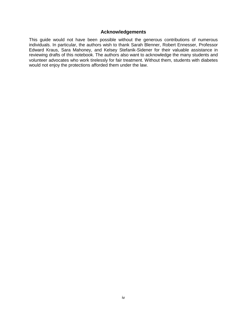#### **Acknowledgements**

<span id="page-7-0"></span>This guide would not have been possible without the generous contributions of numerous individuals. In particular, the authors wish to thank Sarah Blenner, Robert Ennesser, Professor Edward Kraus, Sara Mahoney, and Kelsey Stefanik-Sidener for their valuable assistance in reviewing drafts of this notebook. The authors also want to acknowledge the many students and volunteer advocates who work tirelessly for fair treatment. Without them, students with diabetes would not enjoy the protections afforded them under the law.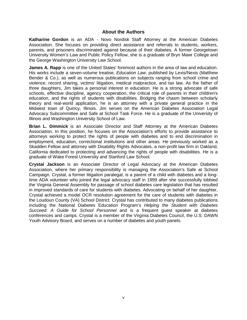#### **About the Authors**

<span id="page-8-0"></span>**Katharine Gordon** is an ADA - Novo Nordisk Staff Attorney at the American Diabetes Association. She focuses on providing direct assistance and referrals to students, workers, parents, and prisoners discriminated against because of their diabetes. A former Georgetown University Women's Law and Public Policy Fellow, she is a graduate of Bryn Mawr College and the George Washington University Law School.

**James A. Rapp** is one of the United States' foremost authors in the area of law and education. His works include a seven-volume treatise, *Education Law*, published by Lexis/Nexis (Matthew Bender & Co.), as well as numerous publications on subjects ranging from school crime and violence, record sharing, victims' litigation, medical malpractice, and tax law. As the father of three daughters, Jim takes a personal interest in education. He is a strong advocate of safe schools, effective discipline, agency cooperation, the critical role of parents in their children's education, and the rights of students with disabilities. Bridging the chasm between scholarly theory and real-world application, he is an attorney with a private general practice in the Midwest town of Quincy, Illinois. Jim serves on the American Diabetes Association Legal Advocacy Subcommittee and Safe at School Task Force. He is a graduate of the University of Illinois and Washington University School of Law.

**Brian L. Dimmick** is an Associate Director and Staff Attorney at the American Diabetes Association. In this position, he focuses on the Association's efforts to provide assistance to attorneys working to protect the rights of people with diabetes and to end discrimination in employment, education, correctional institutions and other areas. He previously worked as a Skadden Fellow and attorney with Disability Rights Advocates, a non-profit law firm in Oakland, California dedicated to protecting and advancing the rights of people with disabilities. He is a graduate of Wake Forest University and Stanford Law School.

**Crystal Jackson** is an Associate Director of Legal Advocacy at the American Diabetes Association, where her primary responsibility is managing the Association's Safe at School Campaign. Crystal, a former litigation paralegal, is a parent of a child with diabetes and a longtime ADA volunteer who joined the legal advocacy staff in 1999 after she successfully lobbied the Virginia General Assembly for passage of school diabetes care legislation that has resulted in improved standards of care for students with diabetes. Advocating on behalf of her daughter, Crystal achieved a model OCR resolution agreement for the care of students with diabetes in the Loudoun County (VA) School District. Crystal has contributed to many diabetes publications including the National Diabetes Education Program's *Helping the Student with Diabetes Succeed: A Guide for School Personnel* and is a frequent guest speaker at diabetes conferences and camps. Crystal is a member of the Virginia Diabetes Council, the U.S. DAWN Youth Advisory Board, and serves on a number of diabetes and youth panels.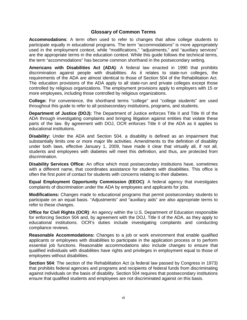#### **Glossary of Common Terms**

<span id="page-9-0"></span>**Accommodations**: A term often used to refer to changes that allow college students to participate equally in educational programs. The term "accommodations" is more appropriately used in the employment context, while "modifications," "adjustments," and "auxiliary services" are the appropriate terms in the education context. While this guide follows the technical terms, the term "accommodations" has become common shorthand in the postsecondary setting.

**Americans with Disabilities Act (ADA)**: A federal law enacted in 1990 that prohibits discrimination against people with disabilities. As it relates to state-run colleges, the requirements of the ADA are almost identical to those of Section 504 of the Rehabilitation Act. The education provisions of the ADA apply to all state-run and private colleges except those controlled by religious organizations. The employment provisions apply to employers with 15 or more employees, including those controlled by religious organizations.

**College:** For convenience, the shorthand terms "college" and "college students" are used throughout this guide to refer to all postsecondary institutions, programs, and students.

**Department of Justice (DOJ):** The Department of Justice enforces Title II and Title III of the ADA through investigating complaints and bringing litigation against entities that violate these parts of the law. By agreement with DOJ, OCR enforces Title II of the ADA as it applies to educational institutions.

**Disability:** Under the ADA and Section 504, a disability is defined as an impairment that substantially limits one or more major life activities. Amendments to the definition of disability under both laws, effective January 1, 2009, have made it clear that virtually all, if not all, students and employees with diabetes will meet this definition, and thus, are protected from discrimination.

**Disability Services Office:** An office which most postsecondary institutions have, sometimes with a different name, that coordinates assistance for students with disabilities. This office is often the first point of contact for students with concerns relating to their diabetes.

**Equal Employment Opportunity Commission (EEOC)**: A federal agency that investigates complaints of discrimination under the ADA by employees and applicants for jobs.

**Modifications:** Changes made to educational programs that permit postsecondary students to participate on an equal basis. "Adjustments" and "auxiliary aids" are also appropriate terms to refer to these changes.

**Office for Civil Rights (OCR):** An agency within the U.S. Department of Education responsible for enforcing Section 504 and, by agreement with the DOJ, Title II of the ADA, as they apply to educational institutions. OCR's duties include investigating complaints and conducting compliance reviews.

**Reasonable Accommodations:** Changes to a job or work environment that enable qualified applicants or employees with disabilities to participate in the application process or to perform essential job functions. Reasonable accommodations also include changes to ensure that qualified individuals with disabilities have rights and privileges in employment equal to those of employees without disabilities.

**Section 504**: The section of the Rehabilitation Act (a federal law passed by Congress in 1973) that prohibits federal agencies and programs and recipients of federal funds from discriminating against individuals on the basis of disability. Section 504 requires that postsecondary institutions ensure that qualified students and employees are not discriminated against on this basis.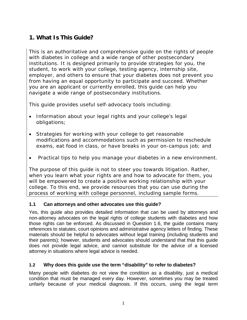## <span id="page-10-0"></span>**1. What Is This Guide?**

This is an authoritative and comprehensive guide on the rights of people with diabetes in college and a wide range of other postsecondary institutions. It is designed primarily to provide strategies for you, the student, to work with your college, testing agency, internship site, employer, and others to ensure that your diabetes does not prevent you from having an equal opportunity to participate and succeed. Whether you are an applicant or currently enrolled, this guide can help you navigate a wide range of postsecondary institutions.

This guide provides useful self-advocacy tools including:

- Information about your legal rights and your college's legal obligations;
- Strategies for working with your college to get reasonable modifications and accommodations such as permission to reschedule exams, eat food in class, or have breaks in your on-campus job; and
- Practical tips to help you manage your diabetes in a new environment.

The purpose of this guide is not to steer you towards litigation. Rather, when you learn what your rights are and how to advocate for them, you will be empowered to create a positive working relationship with your college. To this end, we provide resources that you can use during the process of working with college personnel, including sample forms.

#### <span id="page-10-1"></span>**1.1 Can attorneys and other advocates use this guide?**

Yes, this guide also provides detailed information that can be used by attorneys and non-attorney advocates on the legal rights of college students with diabetes and how those rights can be enforced. As discussed in Question 1.6, the guide contains many references to statutes, court opinions and administrative agency letters of finding. These materials should be helpful to advocates without legal training (including students and their parents); however, students and advocates should understand that that this guide does not provide legal advice, and cannot substitute for the advice of a licensed attorney in situations where legal advice is needed.

## <span id="page-10-2"></span>**1.2 Why does this guide use the term "disability" to refer to diabetes?**

Many people with diabetes do not view the condition as a disability, just a medical condition that must be managed every day. However, sometimes you may be treated unfairly because of your medical diagnosis. If this occurs, using the legal term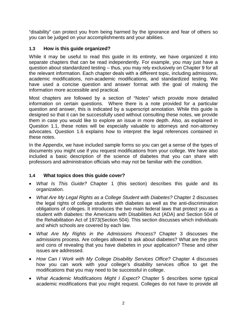"disability" can protect you from being harmed by the ignorance and fear of others so you can be judged on your accomplishments and your abilities.

## <span id="page-11-0"></span>**1.3 How is this guide organized?**

While it may be useful to read this guide in its entirety, we have organized it into separate chapters that can be read independently. For example, you may just have a question about standardized testing – thus, you may rely exclusively on Chapter 9 for all the relevant information. Each chapter deals with a different topic, including admissions, academic modifications, non-academic modifications, and standardized testing. We have used a concise question and answer format with the goal of making the information more accessible and practical.

Most chapters are followed by a section of "Notes" which provide more detailed information on certain questions. Where there is a note provided for a particular question and answer, this is indicated by a superscript annotation. While this guide is designed so that it can be successfully used without consulting these notes, we provide them in case you would like to explore an issue in more depth. Also, as explained in Question 1.1, these notes will be especially valuable to attorneys and non-attorney advocates. Question 1.6 explains how to interpret the legal references contained in these notes.

In the Appendix, we have included sample forms so you can get a sense of the types of documents you might use if you request modifications from your college. We have also included a basic description of the science of diabetes that you can share with professors and administration officials who may not be familiar with the condition.

#### <span id="page-11-1"></span>**1.4 What topics does this guide cover?**

- *What Is This Guide?* Chapter 1 (this section) describes this guide and its organization.
- *What Are My Legal Rights as a College Student with Diabetes?* Chapter 2 discusses the legal rights of college students with diabetes as well as the anti-discrimination obligations of colleges. It introduces the two main federal laws that protect you as a student with diabetes: the Americans with Disabilities Act (ADA) and Section 504 of the Rehabilitation Act of 1973(Section 504). This section discusses which individuals and which schools are covered by each law.
- *What Are My Rights in the Admissions Process?* Chapter 3 discusses the admissions process. Are colleges allowed to ask about diabetes? What are the pros and cons of revealing that you have diabetes in your application? These and other issues are addressed.
- *How Can I Work with My College Disability Services Office?* Chapter 4 discusses how you can work with your college's disability services office to get the modifications that you may need to be successful in college.
- *What Academic Modifications Might I Expect?* Chapter 5 describes some typical academic modifications that you might request. Colleges do not have to provide all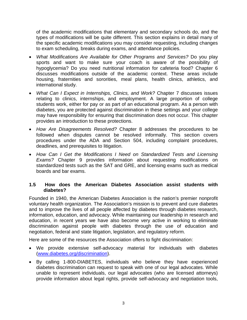of the academic modifications that elementary and secondary schools do, and the types of modifications will be quite different. This section explains in detail many of the specific academic modifications you may consider requesting, including changes to exam scheduling, breaks during exams, and attendance policies.

- *What Modifications Are Available for Other Programs and Services?* Do you play sports and want to make sure your coach is aware of the possibility of hypoglycemia? Do you need nutritional information for cafeteria food? Chapter 6 discusses modifications outside of the academic context. These areas include housing, fraternities and sororities, meal plans, health clinics, athletics, and international study.
- *What Can I Expect in Internships, Clinics, and Work?* Chapter 7 discusses issues relating to clinics, internships, and employment. A large proportion of college students work, either for pay or as part of an educational program. As a person with diabetes, you are protected against discrimination in these settings and your college may have responsibility for ensuring that discrimination does not occur. This chapter provides an introduction to these protections.
- *How Are Disagreements Resolved?* Chapter 8 addresses the procedures to be followed when disputes cannot be resolved informally. This section covers procedures under the ADA and Section 504, including complaint procedures, deadlines, and prerequisites to litigation.
- *How Can I Get the Modifications I Need on Standardized Tests and Licensing Exams?* Chapter 9 provides information about requesting modifications on standardized tests such as the SAT and GRE, and licensing exams such as medical boards and bar exams.

#### <span id="page-12-0"></span>**1.5 How does the American Diabetes Association assist students with diabetes?**

Founded in 1940, the American Diabetes Association is the nation's premier nonprofit voluntary health organization. The Association's mission is to prevent and cure diabetes and to improve the lives of all people affected by diabetes through diabetes research, information, education, and advocacy. While maintaining our leadership in research and education, in recent years we have also become very active in working to eliminate discrimination against people with diabetes through the use of education and negotiation, federal and state litigation, legislation, and regulatory reform.

Here are some of the resources the Association offers to fight discrimination:

- We provide extensive self-advocacy material for individuals with diabetes [\(www.diabetes.org/discrimination\)](http://www.diabetes.org/discrimination).
- By calling 1-800-DIABETES, individuals who believe they have experienced diabetes discrimination can request to speak with one of our legal advocates. While unable to represent individuals, our legal advocates (who are licensed attorneys) provide information about legal rights, provide self-advocacy and negotiation tools,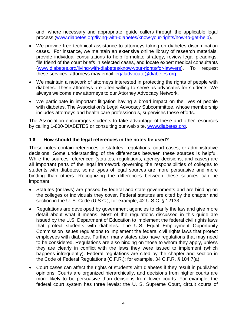and, where necessary and appropriate, guide callers through the applicable legal process [\(www.diabetes.org/living-with-diabetes/know-your-rights/how-to-get-help\)](http://www.diabetes.org/living-with-diabetes/know-your-rights/how-to-get-help).

- We provide free technical assistance to attorneys taking on diabetes discrimination cases. For instance, we maintain an extensive online library of research materials, provide individual consultations to help formulate strategy, review legal pleadings, file friend of the court briefs in selected cases, and locate expert medical consultants [\(www.diabetes.org/living-with-diabetes/know-your-rights/for-lawyers\)](http://www.diabetes.org/living-with-diabetes/know-your-rights/for-lawyers). To request these services, attorneys may email [legaladvocate@diabetes.org.](mailto:legaladvocate@diabetes.org)
- We maintain a network of attorneys interested in protecting the rights of people with diabetes. These attorneys are often willing to serve as advocates for students. We always welcome new attorneys to our Attorney Advocacy Network.
- We participate in important litigation having a broad impact on the lives of people with diabetes. The Association's Legal Advocacy Subcommittee, whose membership includes attorneys and health care professionals, supervises these efforts.

The Association encourages students to take advantage of these and other resources by calling 1-800-DIABETES or consulting our web site, [www.diabetes.org.](http://www.diabetes.org/)

#### <span id="page-13-0"></span>**1.6 How should the legal references in the notes be used?**

These notes contain references to statutes, regulations, court cases, or administrative decisions. Some understanding of the differences between these sources is helpful. While the sources referenced (statutes, regulations, agency decisions, and cases) are all important parts of the legal framework governing the responsibilities of colleges to students with diabetes, some types of legal sources are more persuasive and more binding than others. Recognizing the differences between these sources can be important:

- Statutes (or laws) are passed by federal and state governments and are binding on the colleges or individuals they cover. Federal statutes are cited by the chapter and section in the U. S. Code (U.S.C.); for example, 42 U.S.C. § 12133.
- Regulations are developed by government agencies to clarify the law and give more detail about what it means. Most of the regulations discussed in this guide are issued by the U.S. Department of Education to implement the federal civil rights laws that protect students with diabetes. The U.S. Equal Employment Opportunity Commission issues regulations to implement the federal civil rights laws that protect employees with diabetes. Further, many states also have regulations that may need to be considered. Regulations are also binding on those to whom they apply, unless they are clearly in conflict with the laws they were issued to implement (which happens infrequently). Federal regulations are cited by the chapter and section in the Code of Federal Regulations (C.F.R.); for example, 34 C.F.R. § 104.7(a).
- Court cases can affect the rights of students with diabetes if they result in published opinions. Courts are organized hierarchically, and decisions from higher courts are more likely to be persuasive than decisions from lower courts. For example, the federal court system has three levels: the U. S. Supreme Court, circuit courts of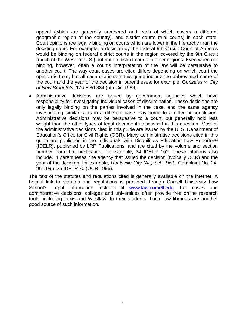appeal (which are generally numbered and each of which covers a different geographic region of the country), and district courts (trial courts) in each state. Court opinions are legally binding on courts which are lower in the hierarchy than the deciding court. For example, a decision by the federal 9th Circuit Court of Appeals would be binding on federal district courts in the region covered by the 9th Circuit (much of the Western U.S.) but not on district courts in other regions. Even when not binding, however, often a court's interpretation of the law will be persuasive to another court. The way court cases are cited differs depending on which court the opinion is from, but all case citations in this guide include the abbreviated name of the court and the year of the decision in parentheses; for example, *Gonzales v. City of New Braunfels*, 176 F.3d 834 (5th Cir. 1999).

• Administrative decisions are issued by government agencies which have responsibility for investigating individual cases of discrimination. These decisions are only legally binding on the parties involved in the case, and the same agency investigating similar facts in a different case may come to a different conclusion. Administrative decisions may be persuasive to a court, but generally hold less weight than the other types of legal documents discussed in this question. Most of the administrative decisions cited in this guide are issued by the U. S. Department of Education's Office for Civil Rights (OCR). Many administrative decisions cited in this guide are published in the Individuals with Disabilities Education Law Reporter® (IDELR), published by LRP Publications, and are cited by the volume and section number from that publication; for example, 34 IDELR 102. These citations also include, in parentheses, the agency that issued the decision (typically OCR) and the year of the decision; for example, *Huntsville City (AL) Sch. Dist*., Complaint No. 04- 96-1096, 25 IDELR 70 (OCR 1996).

The text of the statutes and regulations cited is generally available on the internet. A helpful link to statutes and regulations is provided through Cornell University Law School's Legal Information Institute at [www.law.cornell.edu.](http://www.law.cornell.edu/) For cases and administrative decisions, colleges and universities often provide free online research tools, including Lexis and Westlaw, to their students. Local law libraries are another good source of such information.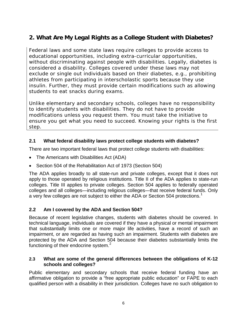## <span id="page-15-0"></span>**2. What Are My Legal Rights as a College Student with Diabetes?**

Federal laws and some state laws require colleges to provide access to educational opportunities, including extra-curricular opportunities, without discriminating against people with disabilities. Legally, diabetes is considered a disability. Colleges covered under these laws may not exclude or single out individuals based on their diabetes, e.g., prohibiting athletes from participating in interscholastic sports because they use insulin. Further, they must provide certain modifications such as allowing students to eat snacks during exams.

Unlike elementary and secondary schools, colleges have no responsibility to identify students with disabilities. They do not have to provide modifications unless you request them. You must take the initiative to ensure you get what you need to succeed. Knowing your rights is the first step.

## <span id="page-15-1"></span>**2.1 What federal disability laws protect college students with diabetes?**

There are two important federal laws that protect college students with disabilities:

- The Americans with Disabilities Act (ADA)
- Section 504 of the Rehabilitation Act of 1973 (Section 504)

The ADA applies broadly to all state-run and private colleges, except that it does not apply to those operated by religious institutions. Title II of the ADA applies to state-run colleges. Title III applies to private colleges. Section 504 applies to federally operated colleges and all colleges—including religious colleges—that receive federal funds. Only a very few colleges are not subject to either the ADA or Section 504 protections. [1](#page-21-1)

## <span id="page-15-2"></span>**2.2 Am I covered by the ADA and Section 504?**

Because of recent legislative changes, students with diabetes should be covered. In technical language, individuals are covered if they have a physical or mental impairment that substantially limits one or more major life activities, have a record of such an impairment, or are regarded as having such an impairment. Students with diabetes are protected by the ADA and Section 504 because their diabetes substantially limits the functioning of their endocrine system.<sup>[2](#page-21-2)</sup>

#### <span id="page-15-3"></span>**2.3 What are some of the general differences between the obligations of K-12 schools and colleges?**

Public elementary and secondary schools that receive federal funding have an affirmative obligation to provide a "free appropriate public education" or FAPE to each qualified person with a disability in their jurisdiction. Colleges have no such obligation to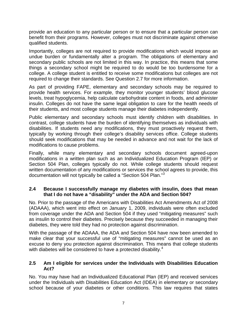provide an education to any particular person or to ensure that a particular person can benefit from their programs. However, colleges must not discriminate against otherwise qualified students.

Importantly, colleges are not required to provide modifications which would impose an undue burden or fundamentally alter a program. The obligations of elementary and secondary public schools are not limited in this way. In practice, this means that some things a secondary school might be required to do would be too burdensome for a college. A college student is entitled to receive some modifications but colleges are not required to change their standards. See Question 2.7 for more information.

As part of providing FAPE, elementary and secondary schools may be required to provide health services. For example, they monitor younger students' blood glucose levels, treat hypoglycemia, help calculate carbohydrate content in foods, and administer insulin. Colleges do not have the same legal obligation to care for the health needs of their students, and most college students manage their diabetes independently.

Public elementary and secondary schools must identify children with disabilities. In contrast, college students have the burden of identifying themselves as individuals with disabilities. If students need any modifications, they must proactively request them, typically by working through their college's disability services office. College students should seek modifications that may be needed in advance and not wait for the lack of modifications to cause problems.

Finally, while many elementary and secondary schools document agreed-upon modifications in a written plan such as an Individualized Education Program (IEP) or Section 504 Plan, colleges typically do not. While college students should request written documentation of any modifications or services the school agrees to provide, this documentation will not typically be called a "Section 504 Plan."<sup>[3](#page-22-0)</sup>

#### <span id="page-16-0"></span>**2.4 Because I successfully manage my diabetes with insulin, does that mean that I do not have a "disability" under the ADA and Section 504?**

No. Prior to the passage of the Americans with Disabilities Act Amendments Act of 2008 (ADAAA), which went into effect on January 1, 2009, individuals were often excluded from coverage under the ADA and Section 504 if they used "mitigating measures" such as insulin to control their diabetes. Precisely because they succeeded in managing their diabetes, they were told they had no protection against discrimination.

With the passage of the ADAAA, the ADA and Section 504 have now been amended to make clear that your successful use of "mitigating measures" cannot be used as an excuse to deny you protection against discrimination. This means that college students with diabetes will be considered to have a protected disability.<sup>[4](#page-22-1)</sup>

#### <span id="page-16-1"></span>**2.5 Am I eligible for services under the Individuals with Disabilities Education Act?**

No. You may have had an Individualized Educational Plan (IEP) and received services under the Individuals with Disabilities Education Act (IDEA) in elementary or secondary school because of your diabetes or other conditions. This law requires that states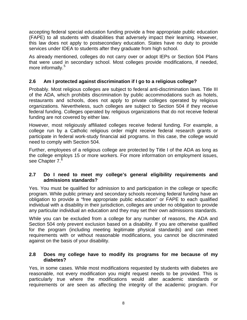accepting federal special education funding provide a free appropriate public education (FAPE) to all students with disabilities that adversely impact their learning. However, this law does not apply to postsecondary education. States have no duty to provide services under IDEA to students after they graduate from high school.

As already mentioned, colleges do not carry over or adopt IEPs or Section 504 Plans that were used in secondary school. Most colleges provide modifications, if needed, more informally.<sup>[5](#page-23-0)</sup>

## <span id="page-17-0"></span>**2.6 Am I protected against discrimination if I go to a religious college?**

Probably. Most religious colleges are subject to federal anti-discrimination laws. Title III of the ADA, which prohibits discrimination by public accommodations such as hotels, restaurants and schools, does not apply to private colleges operated by religious organizations. Nevertheless, such colleges are subject to Section 504 if they receive federal funding. Colleges operated by religious organizations that do not receive federal funding are not covered by either law.

However, most religiously affiliated colleges receive federal funding. For example, a college run by a Catholic religious order might receive federal research grants or participate in federal work-study financial aid programs. In this case, the college would need to comply with Section 504.

Further, employees of a religious college are protected by Title I of the ADA as long as the college employs 15 or more workers. For more information on employment issues, see Chapter 7.<sup>[6](#page-23-1)</sup>

#### <span id="page-17-1"></span>**2.7 Do I need to meet my college's general eligibility requirements and admissions standards?**

Yes. You must be qualified for admission to and participation in the college or specific program. While public primary and secondary schools receiving federal funding have an obligation to provide a "free appropriate public education" or FAPE to each qualified individual with a disability in their jurisdiction, colleges are under no obligation to provide any particular individual an education and they may set their own admissions standards.

While you can be excluded from a college for any number of reasons, the ADA and Section 504 only prevent exclusion based on a disability. If you are otherwise qualified for the program (including meeting legitimate physical standards) and can meet requirements with or without reasonable modifications, you cannot be discriminated against on the basis of your disability.

#### <span id="page-17-2"></span>**2.8 Does my college have to modify its programs for me because of my diabetes?**

Yes, in some cases. While most modifications requested by students with diabetes are reasonable, not every modification you might request needs to be provided. This is particularly true where the modifications would alter academic standards or requirements or are seen as affecting the integrity of the academic program. For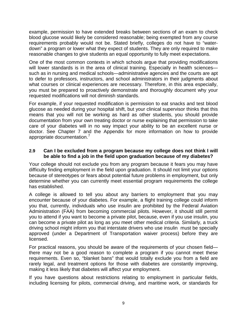example, permission to have extended breaks between sections of an exam to check blood glucose would likely be considered reasonable; being exempted from any course requirements probably would not be. Stated briefly, colleges do not have to "waterdown" a program or lower what they expect of students. They are only required to make reasonable changes to give students an equal opportunity to fully meet expectations.

One of the most common contexts in which schools argue that providing modifications will lower standards is in the area of clinical training. Especially in health sciences such as in nursing and medical schools—administrative agencies and the courts are apt to defer to professors, instructors, and school administrators in their judgments about what courses or clinical experiences are necessary. Therefore, in this area especially, you must be prepared to proactively demonstrate and thoroughly document why your requested modifications will not diminish standards.

For example, if your requested modification is permission to eat snacks and test blood glucose as needed during your hospital shift, but your clinical supervisor thinks that this means that you will not be working as hard as other students, you should provide documentation from your own treating doctor or nurse explaining that permission to take care of your diabetes will in no way impact your ability to be an excellent nurse or doctor. See Chapter 7 and the Appendix for more information on how to provide appropriate documentation.

#### <span id="page-18-0"></span>**2.9 Can I be excluded from a program because my college does not think I will be able to find a job in the field upon graduation because of my diabetes?**

Your college should not exclude you from any program because it fears you may have difficulty finding employment in the field upon graduation. It should not limit your options because of stereotypes or fears about potential future problems in employment, but only determine whether you can currently meet essential program requirements the college has established.

A college is allowed to tell you about any barriers to employment that you may encounter because of your diabetes. For example, a flight training college could inform you that, currently, individuals who use insulin are prohibited by the Federal Aviation Administration (FAA) from becoming commercial pilots. However, it should still permit you to attend if you want to become a private pilot, because, even if you use insulin, you can become a private pilot as long as you meet other medical criteria. Similarly, a truck driving school might inform you that interstate drivers who use insulin must be specially approved (under a Department of Transportation waiver process) before they are licensed.

For practical reasons, you should be aware of the requirements of your chosen field there may not be a good reason to complete a program if you cannot meet these requirements. Even so, "blanket bans" that would totally exclude you from a field are rarely legal, and treatment options for those with diabetes are constantly improving, making it less likely that diabetes will affect your employment.

If you have questions about restrictions relating to employment in particular fields, including licensing for pilots, commercial driving, and maritime work, or standards for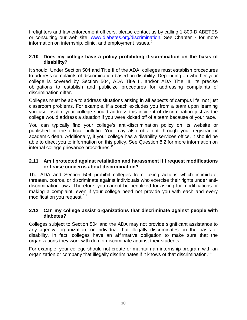firefighters and law enforcement officers, please contact us by calling 1-800-DIABETES or consulting our web site, [www.diabetes.org/discrimination.](http://www.diabetes.org/discrimination) See Chapter 7 for more information on internship, clinic, and employment issues.<sup>[8](#page-24-0)</sup>

#### <span id="page-19-0"></span>**2.10 Does my college have a policy prohibiting discrimination on the basis of disability?**

It should. Under Section 504 and Title II of the ADA, colleges must establish procedures to address complaints of discrimination based on disability. Depending on whether your college is covered by Section 504, ADA Title II, and/or ADA Title III, its precise obligations to establish and publicize procedures for addressing complaints of discrimination differ.

Colleges must be able to address situations arising in all aspects of campus life, not just classroom problems. For example, if a coach excludes you from a team upon learning you use insulin, your college should address this incident of discrimination just as the college would address a situation if you were kicked off of a team because of your race.

You can typically find your college's anti-discrimination policy on its website or published in the official bulletin. You may also obtain it through your registrar or academic dean. Additionally, if your college has a disability services office, it should be able to direct you to information on this policy. See Question 8.2 for more information on internal college grievance procedures.<sup>[9](#page-25-0)</sup>

#### <span id="page-19-1"></span>**2.11 Am I protected against retaliation and harassment if I request modifications or I raise concerns about discrimination?**

The ADA and Section 504 prohibit colleges from taking actions which intimidate, threaten, coerce, or discriminate against individuals who exercise their rights under antidiscrimination laws. Therefore, you cannot be penalized for asking for modifications or making a complaint, even if your college need not provide you with each and every modification you request.<sup>[10](#page-25-1)</sup>

#### <span id="page-19-2"></span>**2.12 Can my college assist organizations that discriminate against people with diabetes?**

Colleges subject to Section 504 and the ADA may not provide significant assistance to any agency, organization, or individual that illegally discriminates on the basis of disability. In fact, colleges have an affirmative obligation to make sure that the organizations they work with do not discriminate against their students.

For example, your college should not create or maintain an internship program with an organization or company that illegally discriminates if it knows of that discrimination.<sup>[11](#page-25-2)</sup>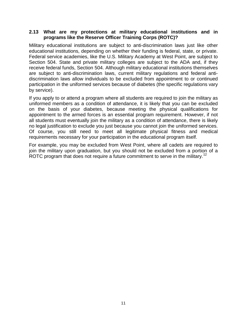#### <span id="page-20-0"></span>**2.13 What are my protections at military educational institutions and in programs like the Reserve Officer Training Corps (ROTC)?**

Military educational institutions are subject to anti-discrimination laws just like other educational institutions, depending on whether their funding is federal, state, or private. Federal service academies, like the U.S. Military Academy at West Point, are subject to Section 504. State and private military colleges are subject to the ADA and, if they receive federal funds, Section 504. Although military educational institutions themselves are subject to anti-discrimination laws, current military regulations and federal antidiscrimination laws allow individuals to be excluded from appointment to or continued participation in the uniformed services because of diabetes (the specific regulations vary by service).

If you apply to or attend a program where all students are required to join the military as uniformed members as a condition of attendance, it is likely that you can be excluded on the basis of your diabetes, because meeting the physical qualifications for appointment to the armed forces is an essential program requirement. However, if not all students must eventually join the military as a condition of attendance, there is likely no legal justification to exclude you just because you cannot join the uniformed services. Of course, you still need to meet all legitimate physical fitness and medical requirements necessary for your participation in the educational program itself.

For example, you may be excluded from West Point, where all cadets are required to join the military upon graduation, but you should not be excluded from a portion of a ROTC program that does not require a future commitment to serve in the military.<sup>[12](#page-26-0)</sup>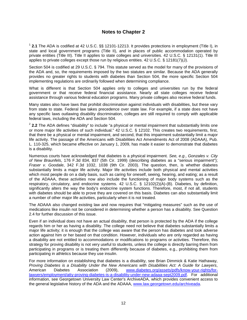#### **Notes to Chapter 2**

<span id="page-21-1"></span><span id="page-21-0"></span><sup>1</sup> **2.1** The ADA is codified at 42 U.S.C. §§ 12101-12213. It provides protections in employment (Title I), in state and local government programs (Title II), and in places of public accommodation operated by private entities (Title III). Title II applies to state colleges and universities. 42 U.S.C. § 12131(1). Title III applies to private colleges except those run by religious entities. 42 U.S.C. § 12181(7)(J).

Section 504 is codified at 29 U.S.C. § 794. This statute served as the model for many of the provisions of the ADA and, so, the requirements imposed by the two statutes are similar. Because the ADA generally provides no greater rights to students with diabetes than Section 504, the more specific Section 504 implementing regulations are ordinarily followed when determining compliance.

What is different is that Section 504 applies only to colleges and universities run by the federal government or that receive federal financial assistance. Nearly all state colleges receive federal assistance through various federal education programs. Many private colleges also receive federal funds.

Many states also have laws that prohibit discrimination against individuals with disabilities, but these vary from state to state. Federal law takes precedence over state law. For example, if a state does not have any specific laws outlawing disability discrimination, colleges are still required to comply with applicable federal laws, including the ADA and Section 504.

<span id="page-21-2"></span><sup>2</sup> 2.2 The ADA defines "disability" to include "a physical or mental impairment that substantially limits one or more major life activities of such individual." 42 U.S.C. § 12102. This creates two requirements, first, that there be a physical or mental impairment, and second, that this impairment substantially limit a major life activity. The passage of the Americans with Disabilities Act Amendments Act of 2008 (ADAAA), Pub. L. 110-325, which became effective on January 1, 2009, has made it easier to demonstrate that diabetes is a disability.

Numerous courts have acknowledged that diabetes is a physical impairment. *See, e.g*., *Gonzales v. City of New Braunfels*, 176 F.3d 834, 837 (5th Cir. 1999) (describing diabetes as a "serious impairment"); *Fraser v. Goodale*, 342 F.3d 1032, 1038 (9th Cir. 2003). The question, then, is whether diabetes substantially limits a major life activity. Major life activities include both physical and mental activities which most people do on a daily basis, such as caring for oneself, seeing, hearing, and eating; as a result of the ADAAA, these activities now also include the functioning of major body systems such as the respiratory, circulatory, and endocrine systems. 42 U.S.C. § 12102(2)(A)-(B). Diabetes, by definition, significantly alters the way the body's endocrine system functions. Therefore, most, if not all, students with diabetes should be able to prove they are covered on this basis. Diabetes can also substantially limit a number of other major life activities, particularly when it is not treated.

The ADAAA also changed existing law and now requires that "mitigating measures" such as the use of medications like insulin not be considered in determining whether a person has a disability. See Question 2.4 for further discussion of this issue.

Even if an individual does not have an actual disability, that person is protected by the ADA if the college regards him or her as having a disability. The college need not believe that diabetes substantially limits a major life activity; it is enough that the college was aware that the person has diabetes and took adverse action against him or her based on that condition. However, individuals who are only regarded as having a disability are not entitled to accommodations or modifications to programs or activities. Therefore, this strategy for proving disability is not very useful to students, unless the college is directly barring them from participating in programs or is treating them differently because of diabetes, e.g., prohibiting them from participating in athletics because they use insulin.

For more information on establishing that diabetes is a disability, see Brian Dimmick & Katie Hathaway, *Proving Diabetes is a Disability Under the New Americans with Disabilities Act: A Guide for Lawyers*, American Diabetes Association (2009), [www.diabetes.org/assets/pdfs/know-your-rights/for](http://www.diabetes.org/assets/pdfs/know-your-rights/for-lawyers/employment/atty-proving-diabetes-is-a-disability-under-new-adaaa-sept2009.pdf)[lawyers/employment/atty-proving-diabetes-is-a-disability-under-new-adaaa-sept2009.pdf.](http://www.diabetes.org/assets/pdfs/know-your-rights/for-lawyers/employment/atty-proving-diabetes-is-a-disability-under-new-adaaa-sept2009.pdf) For additional information, see Georgetown University Law Center's ArchiveADA, which provides convenient access to the general legislative history of the ADA and the ADAAA, [www.law.georgetown.edu/archiveada.](http://www.law.georgetown.edu/archiveada)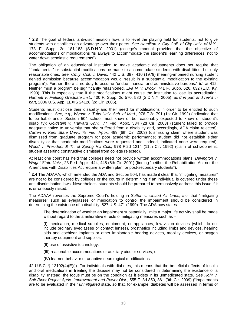<span id="page-22-0"></span><sup>3</sup> **2.3** The goal of federal anti-discrimination laws is to level the playing field for students, not to give students with disabilities an advantage over their peers. *See Hamilton v. City Coll. of City Univ*. *of N.Y.*, 173 F. Supp. 2d 181,183 (S.D.N.Y. 2001) (college's manual provided that the objective of accommodations or modifications "is always to accommodate the student's learning differences, not to water down scholastic requirements").

The obligation of an educational institution to make academic adjustments does not require that "fundamental" or substantial modifications be made to accommodate students with disabilities, but only reasonable ones. *See. Cmty. Coll. v. Davis*, 442 U.S. 397, 410 (1979) (hearing-impaired nursing student denied admission because accommodation would "result in a substantial modification to the existing program"). Further, there is no duty to assume "undue financial and administrative burdens." *Id*. at 412. Neither must a program be significantly refashioned. *Eva N. v. Brock*, 741 F. Supp. 626, 632 (E.D. Ky. 1990). This is especially true if the modifications might cause the institution to lose its accreditation. *Hartnett v. Fielding Graduate Inst*., 400 F. Supp. 2d 570, 580 (S.D.N.Y. 2005), *aff'd in part and rev'd in part*, 2006 U.S. App. LEXIS 24128 (2d Cir. 2006).

Students must disclose their disability and their need for modifications in order to be entitled to such modifications. *See, e.g., Wynne v. Tufts Univ. Sch. of Med.,* 976 F.2d 791 (1st Cir. 1992) (indicating that to be liable under Section 504 school must know or be reasonably expected to know of student's disability); *Goldstein v. Harvard Univ.,* 77 Fed. Appx. 534 (2d Cir. 2003) (student failed to provide adequate notice to university that she suffered from a disability and, accordingly, ADA claim rejected); *Carten v. Kent State Univ.,* 78 Fed. Appx. 499 (6th Cir. 2003) (dismissing claim where student was dismissed from graduate program for poor academic performance; student did not establish either disability or that academic modifications were requested and, indeed, indicated none were required); *Wood v. President & Tr. of Spring Hill Coll.,* 978 F.2d 1214 (11th Cir. 1992) (claim of schizophrenic student asserting constructive dismissal from college rejected).

At least one court has held that colleges need not provide written accommodations plans. *Bevington v. Wright State Univ*., 23 Fed. Appx. 444, 445 (6th Cir. 2001) (finding "neither the Rehabilitation Act nor the Americans with Disabilities Act require a written plan for post-secondary students").

<span id="page-22-1"></span><sup>4</sup> **2.4** The ADAAA, which amended the ADA and Section 504, has made it clear that "mitigating measures" are not to be considered by colleges or the courts in determining if an individual is covered under these anti-discrimination laws. Nevertheless, students should be prepared to persuasively address this issue if it is erroneously raised.

The ADAAA reverses the Supreme Court's holding in *Sutton v. United Air Lines, Inc.* that "mitigating measures" such as eyeglasses or medication to control the impairment should be considered in determining the existence of a disability. 527 U.S. 471 (1999). The ADA now states:

The determination of whether an impairment substantially limits a major life activity shall be made without regard to the ameliorative effects of mitigating measures such as -

(I) medication, medical supplies, equipment, or appliances, low-vision devices (which do not include ordinary eyeglasses or contact lenses), prosthetics including limbs and devices, hearing aids and cochlear implants or other implantable hearing devices, mobility devices, or oxygen therapy equipment and supplies;

- (II) use of assistive technology;
- (III) reasonable accommodations or auxiliary aids or services; or
- (IV) learned behavior or adaptive neurological modifications.

42 U.S.C. § 12102(4)(E)(i). For individuals with diabetes, this means that the beneficial effects of insulin and oral medications in treating the disease may not be considered in determining the existence of a disability. Instead, the focus must be on the condition as it exists in its unmedicated state. *See Rohr v. Salt River Project Agric. Improvement and Power Dist.*, 555 F. 3d 850, 861 (9th Cir. 2009) ("Impairments are to be evaluated in their *unmitigated* state, so that, for example, diabetes will be assessed in terms of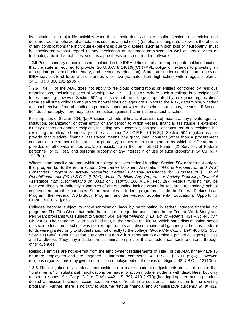its limitations on major life activities when the diabetic does *not* take insulin injections or medicine and does not require behavioral adaptations such as a strict diet.") (emphasis in original). Likewise, the effects of any complications the individual experiences due to diabetes, such as vision loss or neuropathy, must be considered without regard to any medication or treatment employed, as well as any devices or technology the individual uses, such as a prosthesis or screen reader software.

<span id="page-23-0"></span><sup>5</sup> **2.5** Postsecondary education is not included in the IDEA definition of a free appropriate public education that the state is required to provide. 20 U.S.C. § 1401(9)(C) (FAPE obligation extends to providing an appropriate preschool, elementary, and secondary education). States are under no obligation to provide IDEA services to children with disabilities who have graduated from high school with a regular diploma. 34 C.F.R. § 300.102(a)(3)(i).

<span id="page-23-1"></span><sup>6</sup> 2.6 Title III of the ADA does not apply to "religious organizations or entities controlled by religious organizations, including places of worship." 42 U.S.C. § 12187. Where such a college is a recipient of federal funding, however, Section 504 applies even if the college is operated by a religious organization. Because all state colleges and private non-religious colleges are subject to the ADA, determining whether a school receives federal funding is primarily important where that school is religious, because, if Section 504 does not apply, there may be no protection against discrimination at such a school.

For purposes of Section 504, "[a] Recipient [of federal financial assistance] means ... any private agency, institution, organization, or other entity, or any person to which Federal financial assistance is extended directly or through another recipient, including any successor, assignee, or transferee of a recipient, but excluding the ultimate beneficiary of the assistance." 34 C.F.R. § 104.3(f). Section 504 regulations also provide that "Federal financial assistance means any grant, loan, contract (other than a procurement contract or a contract of insurance or guaranty), or any other arrangement by which the Department provides or otherwise makes available assistance in the form of: (1) Funds; (2) Services of Federal personnel; or (3) Real and personal property or any interest in or use of such property[.]" 34 C.F.R. § 104.3(h).

Where some specific program within a college receives federal funding, Section 504 applies not only to that program but to the entire school. *See* James Lockhart, Annotation, *Who Is Recipient of, and What Constitutes Program or Activity Receiving, Federal Financial Assistance for Purposes of § 504 of Rehabilitation Act (29 U.S.C.A. § 794), Which Prohibits Any Program or Activity Receiving Financial Assistance from Discriminating on Basis of Disability*, 160 A.L.R. Fed. 297. Federal funding may be received directly or indirectly. Examples of direct funding include grants for research, technology, school improvement, or other purposes. Some examples of federal programs include the Federal Perkins Loan Program, the Federal Work-Study Program, and the Federal Supplemental Educational Opportunity Grant. 34 C.F.R. § 673.1.

Colleges become subject to anti-discrimination laws by participating in federal student financial aid programs. The Fifth Circuit has held that a state college that participated in the Federal Work Study and Pell Grant programs was subject to Section 504. *Bennett-Nelson v. La. Bd. of Regents*, 431 F.3d 448 (5th Cir. 2005). The Supreme Court also held that, in the context of Title IX, which bans discrimination based on sex in education, a school was not exempt from its anti-discrimination obligations just because federal funds were granted only to students and not directly to the college. *Grove City Coll. v. Bell*, 465 U.S. 555, 569-570 (1984). Even if Section 504 does not apply, it is important to examine a private college's policies and handbooks. They may include non-discrimination policies that a student can seek to enforce through other avenues.

Religious entities are not exempt from the employment requirements of Title I of the ADA if they have 15 or more employees and are engaged in interstate commerce. 42 U.S.C. § 12111(5)(A). However, religious organizations may give preference in employment on the basis of religion. 42 U.S.C. § 12113(d).

<span id="page-23-2"></span><sup>7</sup> **2.8** The obligation of an educational institution to make academic adjustments does not require that "fundamental" or substantial modifications be made to accommodate students with disabilities, but only reasonable ones. *Se. Cmty. Coll. v. Davis*, 442 U.S. 397, 410 (1979) (hearing-impaired nursing student denied admission because accommodation would "result in a substantial modification to the existing program"). Further, there is no duty to assume "undue financial and administrative burdens." *Id*. at 412.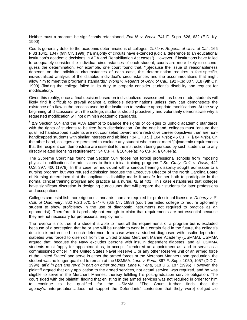Neither must a program be significantly refashioned, *Eva N. v. Brock*, 741 F. Supp. 626, 632 (E.D. Ky. 1990).

Courts generally defer to the academic determinations of colleges. *Zukle v. Regents of Univ. of Cal.*, 166 F.3d 1041, 1047 (9th Cir. 1999) ("a majority of circuits have extended judicial deference to an educational institution's academic decisions in ADA and Rehabilitation Act cases"). However, if institutions have failed to adequately consider the individual circumstances of each student, courts are more likely to secondguess the determination. For example, one court found that, "[b]ecause the issue of reasonableness depends on the individual circumstances of each case, this determination requires a fact-specific, individualized analysis of the disabled individual's circumstances and the accommodations that might allow him to meet the program's standards." *Wong v. Regents of Univ. of Cal*., 192 F.3d 807, 818 (9th Cir. 1999) (finding the college failed in its duty to properly consider student's disability and request for modification).

Given this reality, once a final decision based on individualized assessment has been made, students will likely find it difficult to prevail against a college's determinations unless they can demonstrate the existence of a flaw in the process used by the institution to evaluate appropriate modifications. At the very beginning of discussions with the college, students should proactively and voluntarily demonstrate why a requested modification will not diminish academic standards.

<span id="page-24-0"></span><sup>8</sup> 2.9 Section 504 and the ADA attempt to balance the rights of colleges to uphold academic standards with the rights of students to be free from discrimination. On the one hand, colleges must "ensure that qualified handicapped students are not counseled toward more restrictive career objectives than are nonhandicapped students with similar interests and abilities." 34 C.F.R. § 104.47(b); 45 C.F.R. § 84.47(b). On the other hand, colleges are permitted to exclude any student who cannot meet "[a]cademic requirements that the recipient can demonstrate are essential to the instruction being pursued by such student or to any directly related licensing requirement." 34 C.F.R. § 104.44(a); 45 C.F.R. § 84.44(a).

The Supreme Court has found that Section 504 "[does not forbid] professional schools from imposing physical qualifications for admissions to their clinical training programs." *Se. Cmty. Coll. v. Davis*, 442 U.S. 397, 400 (1979). In this case, an individual with a serious hearing disability sought admission to a nursing program but was refused admission because the Executive Director of the North Carolina Board of Nursing determined that the applicant's disability made it unsafe for her both to participate in the normal clinical training program and practice as a nurse. *Id.* at 401. This case establishes that colleges have significant discretion in designing curriculums that will prepare their students for later professions and occupations.

Colleges can establish more rigorous standards than are required for professional licensure. *Doherty v. S. Coll. of Optometry*, 862 F.2d 570, 574-76 (6th Cir. 1988) (court permitted college to require optometry student to show proficiency in the use of diagnostic instruments not required to practice as an optometrist). Therefore, it is probably not enough to claim that requirements are not essential because they are not necessary for professional employment.

The reverse is not true: if a student is able to meet all the requirements of a program but is excluded because of a perception that he or she will be unable to work in a certain field in the future, the college's decision is not entitled to such deference. In a case where a student diagnosed with insulin dependent diabetes was forced to disenroll from the United States Merchant Marine Academy (USMMA), USMMA argued that, because the Navy excludes persons with insulin dependent diabetes, and all USMMA students must "apply for appointment as, to accept if tendered an appointment as, and to serve as a commissioned officer in the United States Naval Reserve… or any other Reserve unit of an armed force of the United States" and serve in either the armed forces or the Merchant Marines upon graduation, the student was no longer qualified to remain at the USMMA. *Lane v. Pena*, 867 F. Supp. 1050, 1057 (D.D.C. 1994), *aff'd in part and rev'd in part on other grounds*, *Lane v. Pena*, 518 U.S. 187 (1996). However, the plaintiff argued that only application to the armed services, not actual service, was required, and he was eligible to serve in the Merchant Marines, thereby fulfilling his post-graduation service obligation. The court sided with the plaintiff, finding that enlisting in the armed services was not required in order for him<br>to continue to be qualified for the USMMA: "The Court further finds that the to continue to be qualified for the USMMA: agency's…interpretation…does not support the Defendants' contention that the[y were] obliged…to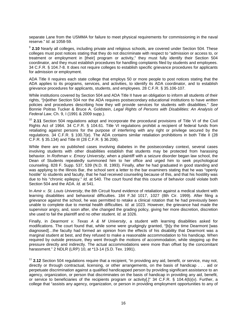separate Lane from the USMMA for failure to meet physical requirements for commissioning in the naval reserve." *Id.* at 1058-59.

<span id="page-25-0"></span><sup>9</sup> **2.10** Nearly all colleges, including private and religious schools, are covered under Section 504. These colleges must post notices stating that they do not discriminate with respect to "admission or access to, or treatment or employment in [their] program or activity," they must fully identify their Section 504 coordinator, and they must establish procedures for handling complaints filed by students and employees. 34 C.F.R. § 104.7-8. It does not require colleges to establish specific grievance procedures for applicants for admission or employment.

ADA Title II requires each state college that employs 50 or more people to post notices stating that the ADA applies to its programs, services, and activities, to identify its ADA coordinator, and to establish grievance procedures for applicants, students, and employees. 28 C.F.R. § 35.106-107.

While institutions covered by Section 504 and ADA Title II have an obligation to inform all students of their rights, "[n]either Section 504 nor the ADA requires postsecondary educational institutions to have *written* policies and procedures describing how they will provide services for students with disabilities." *See*  Bonnie Poitras Tucker & Bruce A. Goldstein, *Legal Rights of Persons with Disabilities: An Analysis of Federal Law*, Ch. 9, I (1991 & 2009 supp.).

<span id="page-25-1"></span><sup>10</sup> **2.11** Section 504 regulations adopt and incorporate the procedural provisions of Title VI of the Civil Rights Act of 1964. 34 C.F.R. § 104.61. Title VI regulations prohibit a recipient of federal funds from retaliating against persons for the purpose of interfering with any right or privilege secured by the regulations. 34 C.F.R. § 100.7(e). The ADA contains similar retaliation prohibitions in both Title II (28 C.F.R. § 35.134) and Title III (28 C.F.R. § 36.206).

While there are no published cases involving diabetes in the postsecondary context, several cases involving students with other disabilities establish that students may be protected from harassing behavior. In *Rothman v. Emory University*, when a plaintiff with a seizure disorder began law school, the Dean of Students repeatedly summoned him to her office and urged him to seek psychological counseling. 828 F. Supp. 537, 539 (N.D. Ill. 1993). Finally, after he had graduated in good standing and was applying to the Illinois Bar, the school sent a letter to the bar examiners stating that he was "openly hostile" to students and faculty, that he had received counseling because of this, and that his hostility was due to his "chronic epilepsy." *Id.* at 540. The court found that this course of behavior could violate both Section 504 and the ADA. *Id.* at 541.

In *Amir v. St. Louis University*, the 8th Circuit found evidence of retaliation against a medical student with learning disabilities and behavioral difficulties. 184 F.3d 1017, 1027 (8th Cir. 1999). After filing a grievance against the school, he was permitted to retake a clinical rotation that he had previously been unable to complete due to mental health difficulties. *Id.* at 1023. However, the grievance had made the supervisor angry, and, soon after, she changed the grading policy, giving her more discretion, discretion she used to fail the plaintiff and no other student. *Id.* at 1026.

Finally, in *Dearmont v. Texas A & M University*, a student with learning disabilities asked for modifications. The court found that, while some were grudgingly granted, "[b]y the time Dearmont [was diagnosed]…the faculty had formed an opinion from the effects of his disability that Dearmont was a marginal student at best, and they refused to make a reasonable accommodation to his handicap. When required by outside pressure, they went through the motions of accommodation, while stepping up the pressure directly and indirectly. The actual accommodations were more than offset by the concomitant harassment." 2 NDLR (LRP) 10, at \*13-14 (S.D. Tex. 1991).

<span id="page-25-2"></span><sup>11</sup> 2.12 Section 504 regulations require that a recipient, "in providing any aid, benefit, or service, may not, directly or through contractual, licensing, or other arrangements, on the basis of handicap . . . aid or perpetuate discrimination against a qualified handicapped person by providing significant assistance to an agency, organization, or person that discriminates on the basis of handicap in providing any aid, benefit, or service to beneficiaries of the recipients program or activity[.]" 34 C.F.R. § 104.4(b)(v). Further, a college that "assists any agency, organization, or person in providing employment opportunities to any of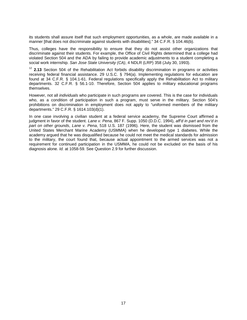its students shall assure itself that such employment opportunities, as a whole, are made available in a manner [that does not discriminate against students with disabilities]." 34 C.F.R. § 104.46(b).

Thus, colleges have the responsibility to ensure that they do not assist other organizations that discriminate against their students. For example, the Office of Civil Rights determined that a college had violated Section 504 and the ADA by failing to provide academic adjustments to a student completing a social work internship. *San Jose State University (CA)*, 4 NDLR (LRP) 358 (July 30, 1993).

<span id="page-26-0"></span><sup>12</sup> **2.13** Section 504 of the Rehabilitation Act forbids disability discrimination in programs or activities receiving federal financial assistance. 29 U.S.C. § 794(a). Implementing regulations for education are found at 34 C.F.R. § 104.1-61. Federal regulations specifically apply the Rehabilitation Act to military departments. 32 C.F.R. § 56.1-10. Therefore, Section 504 applies to military educational programs themselves.

However, not all *individuals* who participate in such programs are covered. This is the case for individuals who, as a condition of participation in such a program, must serve in the military. Section 504's prohibitions on discrimination in employment does not apply to "uniformed members of the military departments." 29 C.F.R. § 1614.103(d)(1).

In one case involving a civilian student at a federal service academy, the Supreme Court affirmed a judgment in favor of the student. *Lane v. Pena*, 867 F. Supp. 1050 (D.D.C. 1994), *aff'd in part and rev'd in part on other grounds*, *Lane v. Pena*, 518 U.S. 187 (1996). Here, the student was dismissed from the United States Merchant Marine Academy (USMMA) when he developed type 1 diabetes. While the academy argued that he was disqualified because he could not meet the medical standards for admission to the military, the court found that, because actual appointment to the armed services was not a requirement for continued participation in the USMMA, he could not be excluded on the basis of his diagnosis alone. *Id.* at 1058-59. See Question 2.9 for further discussion.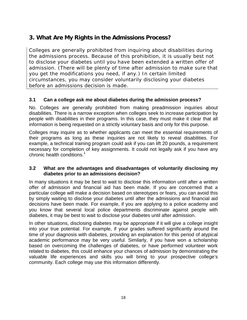## <span id="page-27-0"></span>**3. What Are My Rights in the Admissions Process?**

Colleges are generally prohibited from inquiring about disabilities during the admissions process. Because of this prohibition, it is usually best not to disclose your diabetes until you have been extended a written offer of admission. (There will be plenty of time after admission to make sure that you get the modifications you need, if any.) In certain limited circumstances, you may consider voluntarily disclosing your diabetes before an admissions decision is made.

#### <span id="page-27-1"></span>**3.1 Can a college ask me about diabetes during the admission process?**

No. Colleges are generally prohibited from making preadmission inquiries about disabilities. There is a narrow exception when colleges seek to increase participation by people with disabilities in their programs. In this case, they must make it clear that all information is being requested on a strictly voluntary basis and only for this purpose.

Colleges may inquire as to whether applicants can meet the essential requirements of their programs as long as these inquiries are not likely to reveal disabilities. For example, a technical training program could ask if you can lift 20 pounds, a requirement necessary for completion of key assignments. It could not legally ask if you have any chronic health conditions.<sup>1</sup>

#### <span id="page-27-2"></span>**3.2 What are the advantages and disadvantages of voluntarily disclosing my diabetes prior to an admissions decision?**

In many situations it may be best to wait to disclose this information until after a written offer of admission and financial aid has been made. If you are concerned that a particular college will make a decision based on stereotypes or fears, you can avoid this by simply waiting to disclose your diabetes until after the admissions and financial aid decisions have been made. For example, if you are applying to a police academy and you know that several local police departments discriminate against people with diabetes, it may be best to wait to disclose your diabetes until after admission.

In other situations, disclosing diabetes may be appropriate if it will give a college insight into your true potential. For example, if your grades suffered significantly around the time of your diagnosis with diabetes, providing an explanation for this period of atypical academic performance may be very useful. Similarly, if you have won a scholarship based on overcoming the challenges of diabetes, or have performed volunteer work related to diabetes, this could enhance your chances of admission by demonstrating the valuable life experiences and skills you will bring to your prospective college's community. Each college may use this information differently.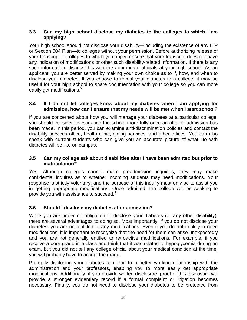#### <span id="page-28-0"></span>**3.3 Can my high school disclose my diabetes to the colleges to which I am applying?**

Your high school should not disclose your disability—including the existence of any IEP or Section 504 Plan—to colleges without your permission. Before authorizing release of your transcript to colleges to which you apply, ensure that your transcript does not have any indication of modifications or other such disability-related information. If there is any such information, discuss this with the appropriate officials at your high school. As an applicant, you are better served by making your own choice as to if, how, and when to disclose your diabetes. If you choose to reveal your diabetes to a college, it may be useful for your high school to share documentation with your college so you can more easily get modifications.<sup>2</sup>

#### <span id="page-28-1"></span>**3.4 If I do not let colleges know about my diabetes when I am applying for admission, how can I ensure that my needs will be met when I start school?**

If you are concerned about how you will manage your diabetes at a particular college, you should consider investigating the school more fully once an offer of admission has been made. In this period, you can examine anti-discrimination policies and contact the disability services office, health clinic, dining services, and other offices. You can also speak with current students who can give you an accurate picture of what life with diabetes will be like on campus.

#### <span id="page-28-2"></span>**3.5 Can my college ask about disabilities after I have been admitted but prior to matriculation?**

Yes. Although colleges cannot make preadmission inquiries, they may make confidential inquires as to whether incoming students may need modifications. Your response is strictly voluntary, and the purpose of this inquiry must only be to assist you in getting appropriate modifications. Once admitted, the college will be seeking to provide you with assistance to succeed.<sup>3</sup>

## <span id="page-28-3"></span>**3.6 Should I disclose my diabetes after admission?**

While you are under no obligation to disclose your diabetes (or any other disability), there are several advantages to doing so. Most importantly, if you do not disclose your diabetes, you are not entitled to any modifications. Even if you do not think you need modifications, it is important to recognize that the need for them can arise unexpectedly and you are not generally entitled to retroactive modifications. For example, if you receive a poor grade in a class and think that it was related to hypoglycemia during an exam, but you did not tell any college official about your medical condition at the time, you will probably have to accept the grade.

Promptly disclosing your diabetes can lead to a better working relationship with the administration and your professors, enabling you to more easily get appropriate modifications. Additionally, if you provide written disclosure, proof of this disclosure will provide a stronger evidentiary record if a formal complaint or litigation becomes necessary. Finally, you do not need to disclose your diabetes to be protected from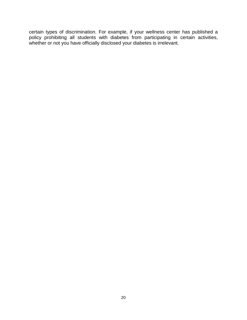certain types of discrimination. For example, if your wellness center has published a policy prohibiting all students with diabetes from participating in certain activities, whether or not you have officially disclosed your diabetes is irrelevant.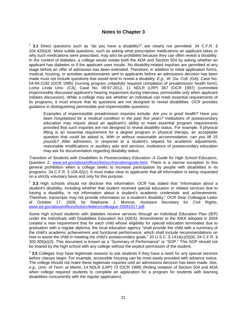#### **Notes to Chapter 3**

<span id="page-30-0"></span><sup>1</sup> **3.1** Direct questions such as "do you have a disability?" are clearly not permitted. 34 C.F.R. § 104.42(b)(4). More subtle questions, such as asking what prescription medications an applicant takes or why such medications were prescribed, may also be prohibited because they can often reveal a disability. In the context of diabetes, a college would violate both the ADA and Section 504 by asking whether an applicant has diabetes or if the applicant uses insulin. No disability-related inquiries are permitted at any stage before an offer of admission has been extended. Therefore, in addition to initial application forms, medical, housing, or activities questionnaires sent to applicants before an admissions decision has been made must not include questions that would tend to reveal a disability. *E.g.*, *W. Ga. Coll. (GA)*, Case No. 04-94-2192 (OCR 1995) (nursing program unlawfully required completion of preadmission health form); *Loma Linda Univ. (CA)*, Case No. 09-97-2012, 11 NDLR (LRP) 367 (OCR 1997) (committee impermissibly discussed applicant's hearing impairment during interview; permissible only when applicant initiates discussion). While a college may ask whether an individual can meet essential requirements of its programs, it must ensure that its questions are not designed to reveal disabilities. OCR provides guidance in distinguishing permissible and impermissible questions:

Examples of impermissible preadmission inquiries include: *Are you in good health? Have you been hospitalized for a medical condition in the past five years?* Institutions of postsecondary education may inquire about an applicant's ability to meet essential program requirements provided that such inquiries are not designed to reveal disability status. For example, if physical lifting is an essential requirement for a degree program in physical therapy, an acceptable question that could be asked is, *With or without reasonable accommodation, can you lift 25 pounds?* After admission, in response to a student's request for academic adjustments, reasonable modifications or auxiliary aids and services, institutions of postsecondary education may ask for documentation regarding disability status.

*Transition of Students with Disabilities to Postsecondary Education: A Guide for High School Educators*, Question 2, [www.ed.gov/about/offices/list/ocr/transitionguide.html.](http://www.ed.gov/about/offices/list/ocr/transitionguide.html) There is a narrow exception to this general prohibition when a college seeks to increase participation by people with disabilities in its programs. 34 C.F.R. § 104.42(c). It must make clear to applicants that all information is being requested on a strictly voluntary basis and only for this purpose.

<sup>2</sup> **3.3** High schools should not disclose this information. OCR has stated that "information about a student's disability, including whether that student received special education or related services due to having a disability, is not information about a student's academic credentials and achievements. Therefore, transcripts may not provide information on a student's disability." OCR Dear Colleague Letter of October 17, 2008, by Stephanie J. Monroe, Assistant Secretary for Civil Rights, [www.ed.gov/about/offices/list/ocr/letters/colleague-20081017.pdf.](http://www.ed.gov/about/offices/list/ocr/letters/colleague-20081017.pdf)

Some high school students with diabetes receive services through an Individual Education Plan (IEP) under the Individuals with Disabilities Education Act (IDEA). Amendments to the IDEA adopted in 2004 created a new requirement that for each child whose eligibility for special education terminates due to graduation with a regular diploma, the local education agency "shall provide the child with a summary of the child's academic achievement and functional performance, which shall include recommendations on how to assist the child in meeting the child's postsecondary goals." 20 U.S.C. § 1414(c)(5)(ii); 34 C.F.R. § 300.305(e)(3). This document is known as a "Summary of Performance" or "SOP." This SOP should not be shared by the high school with any college without the explicit permission of the student.

<sup>3</sup> **3.5** Colleges may have legitimate reasons to ask students if they have a need for any special services before classes begin. For example, accessible housing can be most easily provided with advance notice. The college should not make these legitimate inquiries until an admissions decision has been made. *See, e.g., Univ. of Tenn. at Martin*, 14 NDLR (LRP) 72 (OCR 1998) (finding violation of Section 504 and ADA when college required students to complete an application for a program for students with learning disabilities concurrently with the regular application).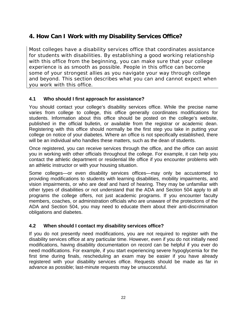## <span id="page-31-0"></span>**4. How Can I Work with my Disability Services Office?**

Most colleges have a disability services office that coordinates assistance for students with disabilities. By establishing a good working relationship with this office from the beginning, you can make sure that your college experience is as smooth as possible. People in this office can become some of your strongest allies as you navigate your way through college and beyond. This section describes what you can and cannot expect when you work with this office.

## <span id="page-31-1"></span>**4.1 Who should I first approach for assistance?**

You should contact your college's disability services office. While the precise name varies from college to college, this office generally coordinates modifications for students. Information about this office should be posted on the college's website, published in the official bulletin, or available from the registrar or academic dean. Registering with this office should normally be the first step you take in putting your college on notice of your diabetes. Where an office is not specifically established, there will be an individual who handles these matters, such as the dean of students.

Once registered, you can receive services through the office, and the office can assist you in working with other officials throughout the college. For example, it can help you contact the athletic department or residential life office if you encounter problems with an athletic instructor or with your housing situation.

Some colleges—or even disability services offices—may only be accustomed to providing modifications to students with learning disabilities, mobility impairments, and vision impairments, or who are deaf and hard of hearing. They may be unfamiliar with other types of disabilities or not understand that the ADA and Section 504 apply to all programs the college offers, not just academic programs. If you encounter faculty members, coaches, or administration officials who are unaware of the protections of the ADA and Section 504, you may need to educate them about their anti-discrimination obligations and diabetes.

#### <span id="page-31-2"></span>**4.2 When should I contact my disability services office?**

If you do not presently need modifications, you are not required to register with the disability services office at any particular time. However, even if you do not initially need modifications, having disability documentation on record can be helpful if you ever do need modifications. For example, if you start experiencing severe hypoglycemia for the first time during finals, rescheduling an exam may be easier if you have already registered with your disability services office. Requests should be made as far in advance as possible; last-minute requests may be unsuccessful.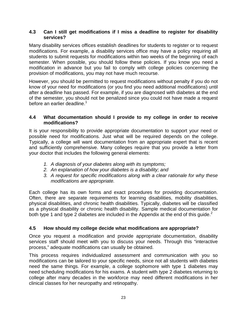#### <span id="page-32-0"></span>**4.3 Can I still get modifications if I miss a deadline to register for disability services?**

Many disability services offices establish deadlines for students to register or to request modifications. For example, a disability services office may have a policy requiring all students to submit requests for modifications within two weeks of the beginning of each semester. When possible, you should follow these policies. If you know you need a modification in advance but you fail to comply with college policies concerning the provision of modifications, you may not have much recourse.

However, you should be permitted to request modifications without penalty if you do not know of your need for modifications (or you find you need additional modifications) until after a deadline has passed. For example, if you are diagnosed with diabetes at the end of the semester, you should not be penalized since you could not have made a request before an earlier deadline.<sup>1</sup>

#### <span id="page-32-1"></span>**4.4 What documentation should I provide to my college in order to receive modifications?**

It is your responsibility to provide appropriate documentation to support your need or possible need for modifications. Just what will be required depends on the college. Typically, a college will want documentation from an appropriate expert that is recent and sufficiently comprehensive. Many colleges require that you provide a letter from your doctor that includes the following general elements:

- *1. A diagnosis of your diabetes along with its symptoms;*
- *2. An explanation of how your diabetes is a disability; and*
- *3. A request for specific modifications along with a clear rationale for why these modifications are appropriate.*

Each college has its own forms and exact procedures for providing documentation. Often, there are separate requirements for learning disabilities, mobility disabilities, physical disabilities, and chronic health disabilities. Typically, diabetes will be classified as a physical disability or chronic health disability. Sample medical documentation for both type 1 and type 2 diabetes are included in the Appendix at the end of this guide.<sup>2</sup>

## <span id="page-32-2"></span>**4.5 How should my college decide what modifications are appropriate?**

Once you request a modification and provide appropriate documentation, disability services staff should meet with you to discuss your needs. Through this "interactive process," adequate modifications can usually be obtained.

This process requires individualized assessment and communication with you so modifications can be tailored to your specific needs, since not all students with diabetes need the same things. For example, a college sophomore with type 1 diabetes may need scheduling modifications for his exams. A student with type 2 diabetes returning to college after many decades in the workforce may need different modifications in her clinical classes for her neuropathy and retinopathy.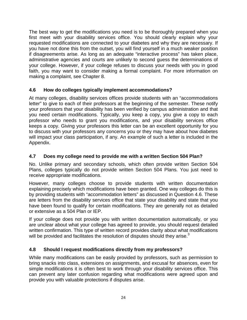The best way to get the modifications you need is to be thoroughly prepared when you first meet with your disability services office. You should clearly explain why your requested modifications are connected to your diabetes and why they are necessary. If you have not done this from the outset, you will find yourself in a much weaker position if disagreements arise. As long as an adequate "interactive process" has taken place, administrative agencies and courts are unlikely to second guess the determinations of your college. However, if your college refuses to discuss your needs with you in good faith, you may want to consider making a formal complaint. For more information on making a complaint, see Chapter 8.

## <span id="page-33-0"></span>**4.6 How do colleges typically implement accommodations?**

At many colleges, disability services offices provide students with an "accommodations letter" to give to each of their professors at the beginning of the semester. These notify your professors that your disability has been verified by campus administration and that you need certain modifications. Typically, you keep a copy, you give a copy to each professor who needs to grant you modifications, and your disability services office keeps a copy. Giving your professors this letter can be an excellent opportunity for you to discuss with your professors any concerns you or they may have about how diabetes will impact your class participation, if any. An example of such a letter is included in the Appendix.

## <span id="page-33-1"></span>**4.7 Does my college need to provide me with a written Section 504 Plan?**

No. Unlike primary and secondary schools, which often provide written Section 504 Plans, colleges typically do not provide written Section 504 Plans. You just need to receive appropriate modifications.

However, many colleges choose to provide students with written documentation explaining precisely which modifications have been granted. One way colleges do this is by providing students with "accommodation letters" as discussed in Question 4.6. These are letters from the disability services office that state your disability and state that you have been found to qualify for certain modifications. They are generally not as detailed or extensive as a 504 Plan or IEP.

If your college does not provide you with written documentation automatically, or you are unclear about what your college has agreed to provide, you should request detailed written confirmation. This type of written record provides clarity about what modifications will be provided and facilitates the resolution of disputes should they arise. $3$ 

## <span id="page-33-2"></span>**4.8 Should I request modifications directly from my professors?**

While many modifications can be easily provided by professors, such as permission to bring snacks into class, extensions on assignments, and excusal for absences, even for simple modifications it is often best to work through your disability services office. This can prevent any later confusion regarding what modifications were agreed upon and provide you with valuable protections if disputes arise.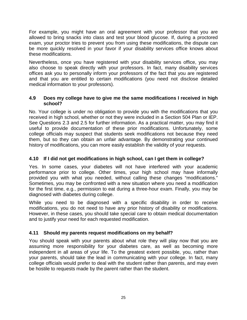For example, you might have an oral agreement with your professor that you are allowed to bring snacks into class and test your blood glucose. If, during a proctored exam, your proctor tries to prevent you from using these modifications, the dispute can be more quickly resolved in your favor if your disability services office knows about these modifications.

Nevertheless, once you have registered with your disability services office, you may also choose to speak directly with your professors. In fact, many disability services offices ask you to personally inform your professors of the fact that you are registered and that you are entitled to certain modifications (you need not disclose detailed medical information to your professors).

#### <span id="page-34-0"></span>**4.9 Does my college have to give me the same modifications I received in high school?**

No. Your college is under no obligation to provide you with the modifications that you received in high school, whether or not they were included in a Section 504 Plan or IEP. See Questions 2.3 and 2.5 for further information. As a practical matter, you may find it useful to provide documentation of these prior modifications. Unfortunately, some college officials may suspect that students seek modifications not because they need them, but so they can obtain an unfair advantage. By demonstrating your continued history of modifications, you can more easily establish the validity of your requests.

#### <span id="page-34-1"></span>**4.10 If I did not get modifications in high school, can I get them in college?**

Yes. In some cases, your diabetes will not have interfered with your academic performance prior to college. Other times, your high school may have informally provided you with what you needed, without calling these changes "modifications." Sometimes, you may be confronted with a new situation where you need a modification for the first time, e.g., permission to eat during a three-hour exam. Finally, you may be diagnosed with diabetes during college.

While you need to be diagnosed with a specific disability in order to receive modifications, you do not need to have any prior history of disability or modifications. However, in these cases, you should take special care to obtain medical documentation and to justify your need for each requested modification.

#### <span id="page-34-2"></span>**4.11 Should my parents request modifications on my behalf?**

You should speak with your parents about what role they will play now that you are assuming more responsibility for your diabetes care, as well as becoming more independent in all areas of your life. To the greatest extent possible, you, rather than your parents, should take the lead in communicating with your college. In fact, many college officials would prefer to deal with the student rather than parents, and may even be hostile to requests made by the parent rather than the student.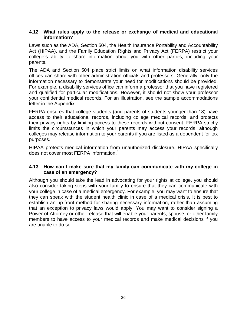#### <span id="page-35-0"></span>**4.12 What rules apply to the release or exchange of medical and educational information?**

Laws such as the ADA, Section 504, the Health Insurance Portability and Accountability Act (HIPAA), and the Family Education Rights and Privacy Act (FERPA) restrict your college's ability to share information about you with other parties, including your parents.

The ADA and Section 504 place strict limits on what information disability services offices can share with other administration officials and professors. Generally, only the information necessary to demonstrate your need for modifications should be provided. For example, a disability services office can inform a professor that you have registered and qualified for particular modifications. However, it should not show your professor your confidential medical records. For an illustration, see the sample accommodations letter in the Appendix.

FERPA ensures that college students (and parents of students younger than 18) have access to their educational records, including college medical records, and protects their privacy rights by limiting access to these records without consent. FERPA strictly limits the circumstances in which your parents may access your records, although colleges may release information to your parents if you are listed as a dependent for tax purposes.

HIPAA protects medical information from unauthorized disclosure. HIPAA specifically does not cover most FERPA information.<sup>4</sup>

#### <span id="page-35-1"></span>**4.13 How can I make sure that my family can communicate with my college in case of an emergency?**

Although you should take the lead in advocating for your rights at college, you should also consider taking steps with your family to ensure that they can communicate with your college in case of a medical emergency. For example, you may want to ensure that they can speak with the student health clinic in case of a medical crisis. It is best to establish an up-front method for sharing necessary information, rather than assuming that an exception to privacy laws would apply. You may want to consider signing a Power of Attorney or other release that will enable your parents, spouse, or other family members to have access to your medical records and make medical decisions if you are unable to do so.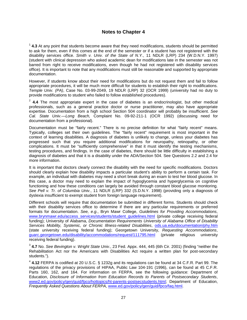#### **Notes to Chapter 4**

<sup>1</sup> **4.3** At any point that students become aware that they need modifications, students should be permitted to ask for them, even if this comes at the end of the semester or if a student has not registered with the disability services office. *Smith v. Univ. of the State of N.Y.*, 11 NDLR (LRP) 234 (W.D.N.Y. 1997) (student with clinical depression who asked academic dean for modifications late in the semester was not barred from right to receive modifications, even though he had not registered with disability services office). It is important to note that any modifications must still be reasonable and supported by appropriate documentation.

However, if students know about their need for modifications but do not request them and fail to follow appropriate procedures, it will be much more difficult for students to establish their right to modifications. *Temple Univ. (PA)*, Case No. 03-99-2049, 19 NDLR (LRP) 32 (OCR 1999) (university had no duty to provide modifications to student who failed to follow established procedures).

<sup>2</sup> **4.4** The most appropriate expert in the case of diabetes is an endocrinologist, but other medical professionals, such as a general practice doctor or nurse practitioner, may also have appropriate expertise. Documentation from a high school Section 504 coordinator will probably be insufficient. *See Cal. State Univ.—Long Beach,* Complaint No. 09-92-211-1 (OCR 1992) (discussing need for documentation from a professional).

Documentation must be "fairly recent." There is no precise definition for what "fairly recent" means. Typically, colleges set their own guidelines. The "fairly recent" requirement is most important in the context of learning disabilities. A diagnosis of diabetes is unlikely to change, unless your diabetes has progressed such that you require additional modifications for neuropathy, retinopathy, or other complications. It must be "sufficiently comprehensive" in that it must identify the testing mechanisms, testing procedures, and findings. In the case of diabetes, there should be little difficulty in establishing a diagnosis of diabetes and that it is a disability under the ADA/Section 504. See Questions 2.2 and 2.4 for more information.

It is important that doctors clearly connect the disability with the need for specific modifications. Doctors should clearly explain how disability impacts a particular student's ability to perform a certain task. For example, an individual with diabetes may need a short break during an exam to test her blood glucose. In this case, a doctor may need to explain the impact of hypoglycemia and hyperglycemia on cognitive functioning and how these conditions can largely be avoided through constant blood glucose monitoring. *See Pell v. Tr. of Columbia Univ.*, 11 NDLR (LRP) 332 (S.D.N.Y. 1998) (providing only a diagnosis of dyslexia insufficient to exempt student from foreign language requirement).

Different schools will require that documentation be submitted in different forms. Students should check with their disability services office to determine if there are any particular requirements or preferred formats for documentation. *See, e.g.*, Bryn Mawr College, *Guidelines for Providing Accommodations*, [www.brynmawr.edu/access\\_services/students/student\\_guidelines.html](http://www.brynmawr.edu/access_services/students/student_guidelines.html) (private\_college\_receiving federal funding); University of Alabama, *Documentation Requirements University of Alabama Office of Disability Services Mobility, Systemic, or Chronic Illness-related Disabilities*, [ods.ua.edu/documentation/phy.htm](http://ods.ua.edu/documentation/phy.htm) (state university receiving federal funding); Georgetown University, *Requesting Accommodations*, [guarc.georgetown.edu/disability/accommodations/request/111795.html](http://guarc.georgetown.edu/disability/accommodations/request/111795.html) (private religious university receiving federal funding).

<sup>3</sup> **4.7** No. *See Bevington v. Wright State Univ.*, 23 Fed. Appx. 444, 445 (6th Cir. 2001) (finding "neither the Rehabilitation Act nor the Americans with Disabilities Act require a written plan for post-secondary students.").

<sup>4</sup> **4.12** FERPA is codified at 20 U.S.C. § 1232g and its regulations can be found at 34 C.F.R. Part 99. The regulations of the privacy provisions of HIPAA, Public Law 104-191 (1996), can be found at 45 C.F.R. Parts 160, 162, and 164. For information on FERPA, see the following guidance: Department of Education, *Disclosure of Information from Education Records to Parents of Postsecondary Students*, [www2.ed.gov/policy/gen/guid/fpco/hottopics/ht-parents-postsecstudents.html;](http://www2.ed.gov/policy/gen/guid/fpco/hottopics/ht-parents-postsecstudents.html) Department of Education, *Frequently Asked Questions About FERPA*, [www.ed.gov/policy/gen/guid/fpco/faq.html.](http://www.ed.gov/policy/gen/guid/fpco/faq.html)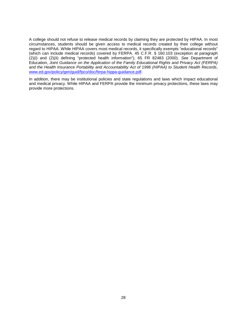A college should not refuse to release medical records by claiming they are protected by HIPAA. In most circumstances, students should be given access to medical records created by their college without regard to HIPAA. While HIPAA covers most medical records, it specifically exempts "educational records" (which can include medical records) covered by FERPA. 45 C.F.R. § 160.103 (exception at paragraph (2)(i) and (2)(ii) defining "protected health information"); 65 FR 82483 (2000). *See* Department of Education, *Joint Guidance on the Application of the Family Educational Rights and Privacy Act (FERPA) and the Health Insurance Portability and Accountability Act of 1996 (HIPAA) to Student Health Records*, [www.ed.gov/policy/gen/guid/fpco/doc/ferpa-hippa-guidance.pdf.](http://www.ed.gov/policy/gen/guid/fpco/doc/ferpa-hippa-guidance.pdf)

In addition, there may be institutional policies and state regulations and laws which impact educational and medical privacy. While HIPAA and FERPA provide the minimum privacy protections, these laws may provide more protections.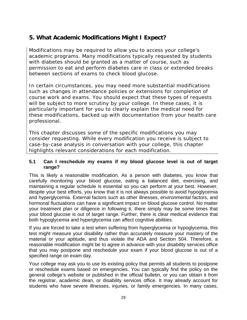# **5. What Academic Modifications Might I Expect?**

Modifications may be required to allow you to access your college's academic programs. Many modifications typically requested by students with diabetes should be granted as a matter of course, such as permission to eat and perform diabetes care in class or extended breaks between sections of exams to check blood glucose.

In certain circumstances, you may need more substantial modifications such as changes in attendance policies or extensions for completion of course work and exams. You should expect that these types of requests will be subject to more scrutiny by your college. In these cases, it is particularly important for you to clearly explain the medical need for these modifications, backed up with documentation from your health care professional.

This chapter discusses some of the specific modifications you may consider requesting. While every modification you receive is subject to case-by-case analysis in conversation with your college, this chapter highlights relevant considerations for each modification.

#### **5.1 Can I reschedule my exams if my blood glucose level is out of target range?**

This is likely a reasonable modification. As a person with diabetes, you know that carefully monitoring your blood glucose, eating a balanced diet, exercising, and maintaining a regular schedule is essential so you can perform at your best. However, despite your best efforts, you know that it is not always possible to avoid hypoglycemia and hyperglycemia. External factors such as other illnesses, environmental factors, and hormonal fluctuations can have a significant impact on blood glucose control. No matter your treatment plan or diligence in following it, there simply may be some times that your blood glucose is out of target range. Further, there is clear medical evidence that both hypoglycemia and hyperglycemia can affect cognitive abilities.

If you are forced to take a test when suffering from hyperglycemia or hypoglycemia, this test might measure your disability rather than accurately measure your mastery of the material or your aptitude, and thus violate the ADA and Section 504. Therefore, a reasonable modification might be to agree in advance with your disability services office that you may postpone and reschedule your exam if your blood glucose is out of a specified range on exam day.

Your college may ask you to use its existing policy that permits all students to postpone or reschedule exams based on emergencies. You can typically find the policy on the general college's website or published in the official bulletin, or you can obtain it from the registrar, academic dean, or disability services office. It may already account for students who have severe illnesses, injuries, or family emergencies. In many cases,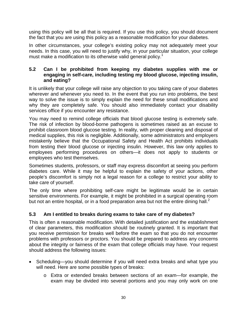using this policy will be all that is required. If you use this policy, you should document the fact that you are using this policy as a reasonable modification for your diabetes.

In other circumstances, your college's existing policy may not adequately meet your needs. In this case, you will need to justify why, in your particular situation, your college must make a modification to its otherwise valid general policy.<sup>1</sup>

#### **5.2 Can I be prohibited from keeping my diabetes supplies with me or engaging in self-care, including testing my blood glucose, injecting insulin, and eating?**

It is unlikely that your college will raise any objection to you taking care of your diabetes wherever and whenever you need to. In the event that you run into problems, the best way to solve the issue is to simply explain the need for these small modifications and why they are completely safe. You should also immediately contact your disability services office if you encounter any resistance.

You may need to remind college officials that blood glucose testing is extremely safe. The risk of infection by blood-borne pathogens is sometimes raised as an excuse to prohibit classroom blood glucose testing. In reality, with proper cleaning and disposal of medical supplies, this risk is negligible. Additionally, some administrators and employers mistakenly believe that the Occupational Safety and Health Act prohibits individuals from testing their blood glucose or injecting insulin. However, this law only applies to employees performing procedures on others—it does not apply to students or employees who test themselves.

Sometimes students, professors, or staff may express discomfort at seeing you perform diabetes care. While it may be helpful to explain the safety of your actions, other people's discomfort is simply not a legal reason for a college to restrict your ability to take care of yourself.

The only time where prohibiting self-care might be legitimate would be in certain sensitive environments. For example, it might be prohibited in a surgical operating room but not an entire hospital, or in a food preparation area but not the entire dining hall.<sup>2</sup>

## **5.3 Am I entitled to breaks during exams to take care of my diabetes?**

This is often a reasonable modification. With detailed justification and the establishment of clear parameters, this modification should be routinely granted. It is important that you receive permission for breaks well before the exam so that you do not encounter problems with professors or proctors. You should be prepared to address any concerns about the integrity or fairness of the exam that college officials may have. Your request should address the following issues:

- Scheduling—you should determine if you will need extra breaks and what type you will need. Here are some possible types of breaks:
	- o Extra or extended breaks between sections of an exam—for example, the exam may be divided into several portions and you may only work on one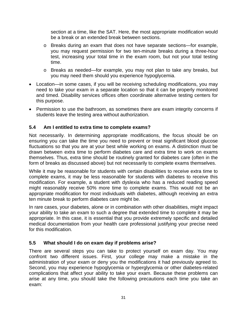section at a time, like the SAT. Here, the most appropriate modification would be a break or an extended break between sections.

- o Breaks during an exam that does not have separate sections—for example, you may request permission for two ten-minute breaks during a three-hour test, increasing your total time in the exam room, but not your total testing time.
- o Breaks as needed—for example, you may not plan to take any breaks, but you may need them should you experience hypoglycemia.
- Location—in some cases, if you will be receiving scheduling modifications, you may need to take your exam in a separate location so that it can be properly monitored and timed. Disability services offices often coordinate alternative testing centers for this purpose.
- Permission to use the bathroom, as sometimes there are exam integrity concerns if students leave the testing area without authorization.

## **5.4 Am I entitled to extra time to complete exams?**

Not necessarily. In determining appropriate modifications, the focus should be on ensuring you can take the time you need to prevent or treat significant blood glucose fluctuations so that you are at your best while working on exams. A distinction must be drawn between extra time to perform diabetes care and extra time to work on exams themselves. Thus, extra time should be routinely granted for diabetes care (often in the form of breaks as discussed above) but not necessarily to complete exams themselves.

While it may be reasonable for students with certain disabilities to receive extra time to complete exams, it may be less reasonable for students with diabetes to receive this modification. For example, a student with dyslexia who has a reduced reading speed might reasonably receive 50% more time to complete exams. This would not be an appropriate modification for most individuals with diabetes, although receiving an extra ten minute break to perform diabetes care might be.

In rare cases, your diabetes, alone or in combination with other disabilities, might impact your ability to take an exam to such a degree that extended time to complete it may be appropriate. In this case, it is essential that you provide extremely specific and detailed medical documentation from your health care professional justifying your precise need for this modification.

## **5.5 What should I do on exam day if problems arise?**

There are several steps you can take to protect yourself on exam day. You may confront two different issues. First, your college may make a mistake in the administration of your exam or deny you the modifications it had previously agreed to. Second, you may experience hypoglycemia or hyperglycemia or other diabetes-related complications that affect your ability to take your exam. Because these problems can arise at any time, you should take the following precautions each time you take an exam: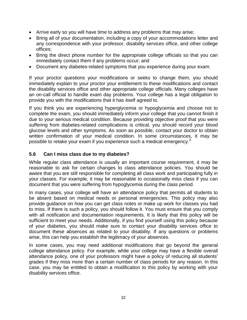- Arrive early so you will have time to address any problems that may arise;
- Bring all of your documentation, including a copy of your accommodations letter and any correspondence with your professor, disability services office, and other college offices;
- Bring the direct phone number for the appropriate college officials so that you can immediately contact them if any problems occur; and
- Document any diabetes-related symptoms that you experience during your exam.

If your proctor questions your modifications or seeks to change them, you should immediately explain to your proctor your entitlement to these modifications and contact the disability services office and other appropriate college officials. Many colleges have an on-call official to handle exam day problems. Your college has a legal obligation to provide you with the modifications that it has itself agreed to.

If you think you are experiencing hyperglycemia or hypoglycemia and choose not to complete the exam, you should immediately inform your college that you cannot finish it due to your serious medical condition. Because providing objective proof that you were suffering from diabetes-related complications is critical, you should record your blood glucose levels and other symptoms. As soon as possible, contact your doctor to obtain written confirmation of your medical condition. In some circumstances, it may be possible to retake your exam if you experience such a medical emergency.<sup>3</sup>

#### **5.6 Can I miss class due to my diabetes?**

While regular class attendance is usually an important course requirement, it may be reasonable to ask for certain changes to class attendance policies. You should be aware that you are still responsible for completing all class work and participating fully in your classes. For example, it may be reasonable to occasionally miss class if you can document that you were suffering from hypoglycemia during the class period.

In many cases, your college will have an attendance policy that permits all students to be absent based on medical needs or personal emergencies. This policy may also provide guidance on how you can get class notes or make up work for classes you had to miss. If there is such a policy, you should follow it. You must ensure that you comply with all notification and documentation requirements. It is likely that this policy will be sufficient to meet your needs. Additionally, if you find yourself using this policy because of your diabetes, you should make sure to contact your disability services office to document these absences as related to your disability. If any questions or problems arise, this can help you establish the legitimacy of your absences.

In some cases, you may need additional modifications that go beyond the general college attendance policy. For example, while your college may have a flexible overall attendance policy, one of your professors might have a policy of reducing all students' grades if they miss more than a certain number of class periods for any reason. In this case, you may be entitled to obtain a modification to this policy by working with your disability services office.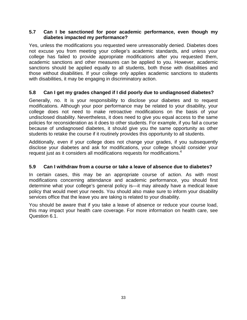#### **5.7 Can I be sanctioned for poor academic performance, even though my diabetes impacted my performance?**

Yes, unless the modifications you requested were unreasonably denied. Diabetes does not excuse you from meeting your college's academic standards, and unless your college has failed to provide appropriate modifications after you requested them, academic sanctions and other measures can be applied to you. However, academic sanctions should be applied equally to all students, both those with disabilities and those without disabilities. If your college only applies academic sanctions to students with disabilities, it may be engaging in discriminatory action.

## **5.8 Can I get my grades changed if I did poorly due to undiagnosed diabetes?**

Generally, no. It is your responsibility to disclose your diabetes and to request modifications. Although your poor performance may be related to your disability, your college does not need to make retroactive modifications on the basis of your undisclosed disability. Nevertheless, it does need to give you equal access to the same policies for reconsideration as it does to other students. For example, if you fail a course because of undiagnosed diabetes, it should give you the same opportunity as other students to retake the course if it routinely provides this opportunity to all students.

Additionally, even if your college does not change your grades, if you subsequently disclose your diabetes and ask for modifications, your college should consider your request just as it considers all modifications requests for modifications. 4

## **5.9 Can I withdraw from a course or take a leave of absence due to diabetes?**

In certain cases, this may be an appropriate course of action. As with most modifications concerning attendance and academic performance, you should first determine what your college's general policy is—it may already have a medical leave policy that would meet your needs. You should also make sure to inform your disability services office that the leave you are taking is related to your disability.

You should be aware that if you take a leave of absence or reduce your course load, this may impact your health care coverage. For more information on health care, see Question 6.1.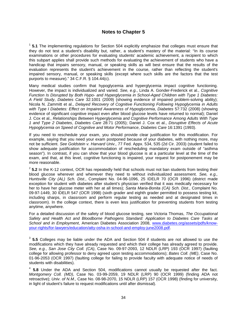#### **Notes to Chapter 5**

<sup>1</sup> 5.1 The implementing regulations for Section 504 explicitly emphasize that colleges must ensure that they do not test a student's disability but, rather, a student's mastery of the material: "In its course examinations or other procedures for evaluating students' academic achievement, a recipient to which this subpart applies shall provide such methods for evaluating the achievement of students who have a handicap that impairs sensory, manual, or speaking skills as will best ensure that the results of the evaluation represents the student's achievement in the course, rather than reflecting the student's impaired sensory, manual, or speaking skills (except where such skills are the factors that the test purports to measure)." 34 C.F.R. § 104.44(c).

Many medical studies confirm that hypoglycemia and hyperglycemia impact cognitive functioning. However, the impact is individualized and varied. *See, e.g.*, Linda A. Gonder-Frederick et al., *Cognitive Function Is Disrupted by Both Hypo- and Hyperglycemia in School-Aged Children with Type 1 Diabetes: A Field Study*, *Diabetes Care* 32:1001 (2009) (showing evidence of impaired problem-solving ability); Nicola N. Zammitt et al., *Delayed Recovery of Cognitive Functioning Following Hypoglycemia in Adults with Type I Diabetes: Effect on Impaired Awareness of Hypoglycemia*, *Diabetes* 57:732 (2008) (showing evidence of significant cognitive impact even after blood glucose levels have returned to normal); Daniel J. Cox et al., *Relationships Between Hyperglycemia and Cognitive Performance Among Adults With Type 1 and Type 2 Diabetes*, *Diabetes Care* 28:71 (2005); Daniel J. Cox et al., *Disruptive Effects of Acute Hypoglycemia on Speed of Cognitive and Motor Performance*, *Diabetes Care* 16:1391 (1993).

If you need to reschedule your exam, you should provide clear justification for this modification. For example, saying that you need your exam postponed because of your diabetes, with nothing more, may not be sufficient. *See Goldstein v. Harvard Univ.,* 77 Fed. Appx. 534, 535 (2d Cir. 2003) (student failed to show adequate justification for accommodation of rescheduling mandatory exam outside of "asthma season"). In contrast, if you can show that your blood glucose is at a particular level at the time of the exam, and that, at this level, cognitive functioning is impaired, your request for postponement may be more reasonable.

<sup>2</sup> 5.2 In the K-12 context, OCR has repeatedly held that schools must not ban students from testing their blood glucose wherever and whenever they need to without individualized assessment. *See, e.g., Huntsville City (AL) Sch. Dist*., Complaint No. 04-96-1096, 25 IDELR 70 (OCR 1996) (district made exception for student with diabetes after student's physician verified that it was medically necessary for her to have her glucose meter with her at all times); *Santa Maria-Bonita (CA) Sch. Dist*., Complaint No. 09-97-1449, 30 IDELR 547 (OCR 1998) (sixth grader and eighth grader permitted to possess testing kit, including sharps, in classroom and perform regular testing as needed and at designated times in classroom). In the college context, there is even less justification for preventing students from testing anytime, anywhere.

For a detailed discussion of the safety of blood glucose testing, see Victoria Thomas, *The Occupational Safety and Health Act and Bloodborne Pathogens Standard: Application to Diabetes Care Tasks at School and in Employment*, American Diabetes Association 2008, [www.diabetes.org/assets/pdfs/know](http://www.diabetes.org/assets/pdfs/know-your-rights/for-lawyers/education/atty-osha-in-school-and-employ-june2008.pdf)[your-rights/for-lawyers/education/atty-osha-in-school-and-employ-june2008.pdf.](http://www.diabetes.org/assets/pdfs/know-your-rights/for-lawyers/education/atty-osha-in-school-and-employ-june2008.pdf)

<sup>3</sup> **5.5** Colleges may be liable under the ADA and Section 504 if students are not allowed to use the modifications which they have already requested and which their college has already agreed to provide. *See, e.g.*, *San Jose City Coll. (CA)*, Case No. 09-97-2093, 12 NDLR (LRP) 193 (OCR 1997) (faulting college for allowing professor to deny agreed upon testing accommodations); *Bates Coll. (ME)*, Case No. 01-96-2053 (OCR 1997) (faulting college for failing to provide faculty with adequate notice of needs of students with disabilities).

<sup>4</sup> **5.8** Under the ADA and Section 504, modifications cannot usually be requested after the fact. *Montgomery Coll. (MD)*, Case No. 03-99-2059, 19 NDLR (LRP) 90 (OCR 1999) (finding ADA not retroactive); *Univ. of N.M.*, Case No. 08-98-2070, 15 NDLR (LRP) 157 (OCR 1998) (finding for university, in light of student's failure to request modifications until after dismissal).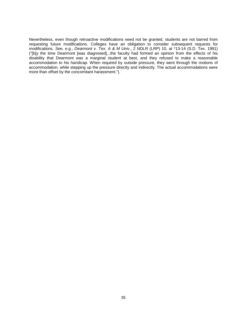Nevertheless, even though retroactive modifications need not be granted, students are not barred from requesting future modifications. Colleges have an obligation to consider subsequent requests for modifications. *See, e.g.*, *Dearmont v. Tex. A & M Univ.*, 2 NDLR (LRP) 10, at \*13-14 (S.D. Tex. 1991) ("[b]y the time Dearmont [was diagnosed]...the faculty had formed an opinion from the effects of his disability that Dearmont was a marginal student at best, and they refused to make a reasonable accommodation to his handicap. When required by outside pressure, they went through the motions of accommodation, while stepping up the pressure directly and indirectly. The actual accommodations were more than offset by the concomitant harassment.").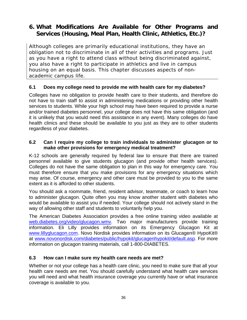# **6. What Modifications Are Available for Other Programs and Services (Housing, Meal Plan, Health Clinic, Athletics, Etc.)?**

Although colleges are primarily educational institutions, they have an obligation not to discriminate in all of their activities and programs. Just as you have a right to attend class without being discriminated against, you also have a right to participate in athletics and live in campus housing on an equal basis. This chapter discusses aspects of nonacademic campus life.

#### **6.1 Does my college need to provide me with health care for my diabetes?**

Colleges have no obligation to provide health care to their students, and therefore do not have to train staff to assist in administering medications or providing other health services to students. While your high school may have been required to provide a nurse and/or trained diabetes personnel, your college does not have this same obligation (and it is unlikely that you would need this assistance in any event). Many colleges do have health clinics and these should be available to you just as they are to other students regardless of your diabetes.

#### **6.2 Can I require my college to train individuals to administer glucagon or to make other provisions for emergency medical treatment?**

K-12 schools are generally required by federal law to ensure that there are trained personnel available to give students glucagon (and provide other health services). Colleges do not have the same obligation to plan in this way for emergency care. You must therefore ensure that you make provisions for any emergency situations which may arise. Of course, emergency and other care must be provided to you to the same extent as it is afforded to other students.

You should ask a roommate, friend, resident advisor, teammate, or coach to learn how to administer glucagon. Quite often you may know another student with diabetes who would be available to assist you if needed. Your college should not actively stand in the way of allowing other staff and students to voluntarily help you.

The American Diabetes Association provides a free online training video available at [web.diabetes.org/video/glucagon.wmv.](http://web.diabetes.org/video/glucagon.wmv) Two major manufacturers provide training information. Eli Lilly provides information on its Emergency Glucagon Kit at [www.lillyglucagon.com.](http://www.lillyglucagon.com/) Novo Nordisk provides information on its Glucagen® HypoKit® at [www.novonordisk.com/diabetes/public/hypokit/glucagenhypokit/default.asp.](http://www.novonordisk.com/diabetes/public/hypokit/glucagenhypokit/default.asp) For more information on glucagon training materials, call 1-800-DIABETES.

## **6.3 How can I make sure my health care needs are met?**

Whether or not your college has a health care clinic, you need to make sure that all your health care needs are met. You should carefully understand what health care services you will need and what health insurance coverage you currently have or what insurance coverage is available to you.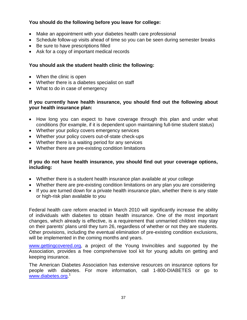## **You should do the following before you leave for college:**

- Make an appointment with your diabetes health care professional
- Schedule follow-up visits ahead of time so you can be seen during semester breaks
- Be sure to have prescriptions filled
- Ask for a copy of important medical records

#### **You should ask the student health clinic the following:**

- When the clinic is open
- Whether there is a diabetes specialist on staff
- What to do in case of emergency

#### **If you currently have health insurance, you should find out the following about your health insurance plan:**

- How long you can expect to have coverage through this plan and under what conditions (for example, if it is dependent upon maintaining full-time student status)
- Whether your policy covers emergency services
- Whether your policy covers out-of-state check-ups
- Whether there is a waiting period for any services
- Whether there are pre-existing condition limitations

#### **If you do not have health insurance, you should find out your coverage options, including:**

- Whether there is a student health insurance plan available at your college
- Whether there are pre-existing condition limitations on any plan you are considering
- If you are turned down for a private health insurance plan, whether there is any state or high-risk plan available to you

Federal health care reform enacted in March 2010 will significantly increase the ability of individuals with diabetes to obtain health insurance. One of the most important changes, which already is effective, is a requirement that unmarried children may stay on their parents' plans until they turn 26, regardless of whether or not they are students. Other provisions, including the eventual elimination of pre-existing condition exclusions, will be implemented in the coming months and years.

[www.gettingcovered.org,](http://www.gettingcovered.org/) a project of the Young Invincibles and supported by the Association, provides a free comprehensive tool kit for young adults on getting and keeping insurance.

The American Diabetes Association has extensive resources on insurance options for people with diabetes. For more information, call 1-800-DIABETES or go to [www.diabetes.org.](http://www.diabetes.org/)<sup>1</sup>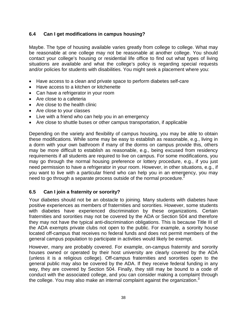## **6.4 Can I get modifications in campus housing?**

Maybe. The type of housing available varies greatly from college to college. What may be reasonable at one college may not be reasonable at another college. You should contact your college's housing or residential life office to find out what types of living situations are available and what the college's policy is regarding special requests and/or policies for students with disabilities. You might seek a placement where you:

- Have access to a clean and private space to perform diabetes self-care
- Have access to a kitchen or kitchenette
- Can have a refrigerator in your room
- Are close to a cafeteria
- Are close to the health clinic
- Are close to your classes
- Live with a friend who can help you in an emergency
- Are close to shuttle buses or other campus transportation, if applicable

Depending on the variety and flexibility of campus housing, you may be able to obtain these modifications. While some may be easy to establish as reasonable, e.g., living in a dorm with your own bathroom if many of the dorms on campus provide this, others may be more difficult to establish as reasonable, e.g., being excused from residency requirements if all students are required to live on campus. For some modifications, you may go through the normal housing preference or lottery procedure, e.g., if you just need permission to have a refrigerator in your room. However, in other situations, e.g., if you want to live with a particular friend who can help you in an emergency, you may need to go through a separate process outside of the normal procedure.<sup>2</sup>

## **6.5 Can I join a fraternity or sorority?**

Your diabetes should not be an obstacle to joining. Many students with diabetes have positive experiences as members of fraternities and sororities. However, some students with diabetes have experienced discrimination by these organizations. Certain fraternities and sororities may not be covered by the ADA or Section 504 and therefore they may not have the typical anti-discrimination obligations. This is because Title III of the ADA exempts private clubs not open to the public. For example, a sorority house located off-campus that receives no federal funds and does not permit members of the general campus population to participate in activities would likely be exempt.

However, many are probably covered. For example, on-campus fraternity and sorority houses owned or operated by their host university are clearly covered by the ADA (unless it is a religious college). Off-campus fraternities and sororities open to the general public may also be covered by the ADA. If they receive federal funding in any way, they are covered by Section 504. Finally, they still may be bound to a code of conduct with the associated college, and you can consider making a complaint through the college. You may also make an internal complaint against the organization.<sup>3</sup>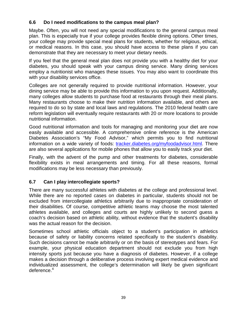## **6.6 Do I need modifications to the campus meal plan?**

Maybe. Often, you will not need any special modifications to the general campus meal plan. This is especially true if your college provides flexible dining options. Other times, your college may provide special meal plans for students, whether for religious, ethical, or medical reasons. In this case, you should have access to these plans if you can demonstrate that they are necessary to meet your dietary needs.

If you feel that the general meal plan does not provide you with a healthy diet for your diabetes, you should speak with your campus dining service. Many dining services employ a nutritionist who manages these issues. You may also want to coordinate this with your disability services office.

Colleges are not generally required to provide nutritional information. However, your dining service may be able to provide this information to you upon request. Additionally, many colleges allow students to purchase food at restaurants through their meal plans. Many restaurants choose to make their nutrition information available, and others are required to do so by state and local laws and regulations. The 2010 federal health care reform legislation will eventually require restaurants with 20 or more locations to provide nutritional information.

Good nutritional information and tools for managing and monitoring your diet are now easily available and accessible. A comprehensive online reference is the American Diabetes Association's "My Food Advisor," which permits you to find nutritional information on a wide variety of foods: [tracker.diabetes.org/myfoodadvisor.html.](http://tracker.diabetes.org/myfoodadvisor.html) There are also several applications for mobile phones that allow you to easily track your diet.

Finally, with the advent of the pump and other treatments for diabetes, considerable flexibility exists in meal arrangements and timing. For all these reasons, formal modifications may be less necessary than previously.

## **6.7 Can I play intercollegiate sports?**

There are many successful athletes with diabetes at the college and professional level. While there are no reported cases on diabetes in particular, students should not be excluded from intercollegiate athletics arbitrarily due to inappropriate consideration of their disabilities. Of course, competitive athletic teams may choose the most talented athletes available, and colleges and courts are highly unlikely to second guess a coach's decision based on athletic ability, without evidence that the student's disability was the actual reason for the decision.

Sometimes school athletic officials object to a student's participation in athletics because of safety or liability concerns related specifically to the student's disability. Such decisions cannot be made arbitrarily or on the basis of stereotypes and fears. For example, your physical education department should not exclude you from high intensity sports just because you have a diagnosis of diabetes. However, if a college makes a decision through a deliberative process involving expert medical evidence and individualized assessment, the college's determination will likely be given significant deference.<sup>4</sup>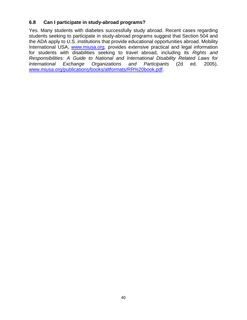## **6.8 Can I participate in study-abroad programs?**

Yes. Many students with diabetes successfully study abroad. Recent cases regarding students seeking to participate in study-abroad programs suggest that Section 504 and the ADA apply to U.S. institutions that provide educational opportunities abroad. Mobility International USA, [www.miusa.org,](http://www.miusa.org/) provides extensive practical and legal information for students with disabilities seeking to travel abroad, including its *Rights and Responsibilities: A Guide to National and International Disability Related Laws for International Exchange Organizations and Participants* (2d ed. 2005), [www.miusa.org/publications/books/altformats/RR%20book.pdf.](http://www.miusa.org/publications/books/altformats/RR%20book.pdf)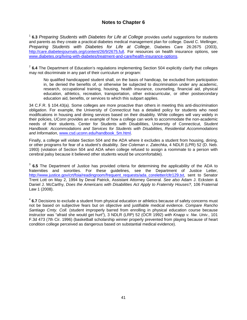### **Notes to Chapter 6**

<sup>1</sup> **6.3** *Preparing Students with Diabetes for Life at College* provides useful suggestions for students and parents as they create a practical diabetes medical management plan for college. David C. Mellinger, *Preparing Students with Diabetes for Life at College*, Diabetes Care 26:2675 (2003), [http://care.diabetesjournals.org/content/26/9/2675.full.](http://care.diabetesjournals.org/content/26/9/2675.full) For resources on health insurance options, see [www.diabetes.org/living-with-diabetes/treatment-and-care/health-insurance-options.](http://www.diabetes.org/living-with-diabetes/treatment-and-care/health-insurance-options)

<sup>2</sup> 6.4 The Department of Education's regulations implementing Section 504 explicitly clarify that colleges may not discriminate in any part of their curriculum or program:

No qualified handicapped student shall, on the basis of handicap, be excluded from participation in, be denied the benefits of, or otherwise be subjected to discrimination under any academic, research, occupational training, housing, health insurance, counseling, financial aid, physical education, athletics, recreation, transportation, other extracurricular, or other postsecondary education aid, benefits, or services to which this subpart applies.

34 C.F.R. § 104.43(a). Some colleges are more proactive than others in meeting this anti-discrimination obligation. For example, the University of Connecticut has a detailed policy for students who need modifications in housing and dining services based on their disability. While colleges will vary widely in their policies, UConn provides an example of how a college can work to accommodate the non-academic needs of their students. Center for Students with Disabilities, University of Connecticut, *Student Handbook: Accommodations and Services for Students with Disabilities, Residential Accommodations and Information*, [www.csd.uconn.edu/handbook\\_5m.html.](http://www.csd.uconn.edu/handbook_5m.html)

Finally, a college will violate Section 504 and the ADA where it excludes a student from housing, dining, or other programs for fear of a student's disability. *See Coleman v. Zatechka*, 4 NDLR (LPR) 52 (D. Neb. 1993) (violation of Section 504 and ADA when college refused to assign a roommate to a person with cerebral palsy because it believed other students would be uncomfortable).

<sup>3</sup> **6.5** The Department of Justice has provided criteria for determining the applicability of the ADA to fraternities and sororities. For these guidelines, see the Department of Justice Letter, [http://www.justice.gov/crt/foia/readingroom/frequent\\_requests/ada\\_coreletter/cltr129.txt,](http://www.justice.gov/crt/foia/readingroom/frequent_requests/ada_coreletter/cltr129.txt) sent to Senator Trent Lott on May 2, 1994 by Deval Patrick, Assistant Attorney General. *See also* Adam J. Eckstein & Daniel J. McCarthy, *Does the Americans with Disabilities Act Apply to Fraternity Houses?,* 106 Fraternal Law 1 (2008).

<sup>4</sup> **6.7** Decisions to exclude a student from physical education or athletics because of safety concerns must not be based on subjective fears but on objective and justifiable medical evidence. *Compare Rancho Santiago Cmty. Coll.* (student improperly barred from enrolling in physical education course because instructor was "afraid she would get hurt"), 3 NDLR (LRP) 52 (OCR 1992) *with Knapp v. Nw. Univ.*, 101 F.3d 473 (7th Cir. 1996) (basketball scholarship winner properly prevented from playing because of heart condition college perceived as dangerous based on substantial medical evidence).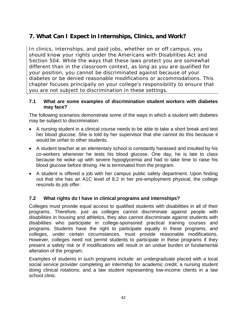# **7. What Can I Expect in Internships, Clinics, and Work?**

In clinics, internships, and paid jobs, whether on or off campus, you should know your rights under the Americans with Disabilities Act and Section 504. While the ways that these laws protect you are somewhat different than in the classroom context, as long as you are qualified for your position, you cannot be discriminated against because of your diabetes or be denied reasonable modifications or accommodations. This chapter focuses principally on your college's responsibility to ensure that you are not subject to discrimination in these settings.

#### **7.1 What are some examples of discrimination student workers with diabetes may face?**

The following scenarios demonstrate some of the ways in which a student with diabetes may be subject to discrimination:

- A nursing student in a clinical course needs to be able to take a short break and test her blood glucose. She is told by her supervisor that she cannot do this because it would be unfair to other students.
- A student teacher at an elementary school is constantly harassed and insulted by his co-workers whenever he tests his blood glucose. One day, he is late to class because he woke up with severe hypoglycemia and had to take time to raise his blood glucose before driving. He is terminated from the program.
- A student is offered a job with her campus public safety department. Upon finding out that she has an A1C level of 8.2 in her pre-employment physical, the college rescinds its job offer.

## **7.2 What rights do I have in clinical programs and internships?**

Colleges must provide equal access to qualified students with disabilities in all of their programs. Therefore, just as colleges cannot discriminate against people with disabilities in housing and athletics, they also cannot discriminate against students with disabilities who participate in college-sponsored practical training courses and programs. Students have the right to participate equally in these programs, and colleges, under certain circumstances, must provide reasonable modifications. However, colleges need not permit students to participate in these programs if they present a safety risk or if modifications will result in an undue burden or fundamental alteration of the program.

Examples of students in such programs include: an undergraduate placed with a local social service provider completing an internship for academic credit; a nursing student doing clinical rotations; and a law student representing low-income clients in a law school clinic.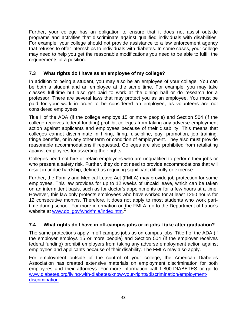Further, your college has an obligation to ensure that it does not assist outside programs and activities that discriminate against qualified individuals with disabilities. For example, your college should not provide assistance to a law enforcement agency that refuses to offer internships to individuals with diabetes. In some cases, your college may need to help you get the reasonable modifications you need to be able to fulfill the requirements of a position. 1

## **7.3 What rights do I have as an employee of my college?**

In addition to being a student, you may also be an employee of your college. You can be both a student and an employee at the same time. For example, you may take classes full-time but also get paid to work at the dining hall or do research for a professor. There are several laws that may protect you as an employee. You must be paid for your work in order to be considered an employee, as volunteers are not considered employees.

Title I of the ADA (if the college employs 15 or more people) and Section 504 (if the college receives federal funding) prohibit colleges from taking any adverse employment action against applicants and employees because of their disability. This means that colleges cannot discriminate in hiring, firing, discipline, pay, promotion, job training, fringe benefits, or in any other term or condition of employment. They also must provide reasonable accommodations if requested. Colleges are also prohibited from retaliating against employees for asserting their rights.

Colleges need not hire or retain employees who are unqualified to perform their jobs or who present a safety risk. Further, they do not need to provide accommodations that will result in undue hardship, defined as requiring significant difficulty or expense.

Further, the Family and Medical Leave Act (FMLA) may provide job protection for some employees. This law provides for up to 12 weeks of unpaid leave, which can be taken on an intermittent basis, such as for doctor's appointments or for a few hours at a time. However, this law only protects employees who have worked for at least 1250 hours for 12 consecutive months. Therefore, it does not apply to most students who work parttime during school. For more information on the FMLA, go to the Department of Labor's website at **www.dol.gov/whd/fmla/index.htm.**<sup>2</sup>

## **7.4 What rights do I have in off-campus jobs or in jobs I take after graduation?**

The same protections apply in off-campus jobs as on-campus jobs. Title I of the ADA (if the employer employs 15 or more people) and Section 504 (if the employer receives federal funding) prohibit employers from taking any adverse employment action against employees and applicants because of their disability. The FMLA may also apply.

For employment outside of the control of your college, the American Diabetes Association has created extensive materials on employment discrimination for both employees and their attorneys. For more information call 1-800-DIABETES or go to [www.diabetes.org/living-with-diabetes/know-your-rights/discrimination/employment](http://www.diabetes.org/living-with-diabetes/know-your-rights/discrimination/employment-discrimination)[discrimination.](http://www.diabetes.org/living-with-diabetes/know-your-rights/discrimination/employment-discrimination)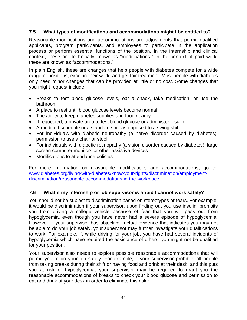#### **7.5 What types of modifications and accommodations might I be entitled to?**

Reasonable modifications and accommodations are adjustments that permit qualified applicants, program participants, and employees to participate in the application process or perform essential functions of the position. In the internship and clinical context, these are technically known as "modifications." In the context of paid work, these are known as "accommodations."

In plain English, these are changes that help people with diabetes compete for a wide range of positions, excel in their work, and get fair treatment. Most people with diabetes only need minor changes that can be provided at little or no cost. Some changes that you might request include:

- Breaks to test blood glucose levels, eat a snack, take medication, or use the bathroom
- A place to rest until blood glucose levels become normal
- The ability to keep diabetes supplies and food nearby
- If requested, a private area to test blood glucose or administer insulin
- A modified schedule or a standard shift as opposed to a swing shift
- For individuals with diabetic neuropathy (a nerve disorder caused by diabetes), permission to use a chair or stool
- For individuals with diabetic retinopathy (a vision disorder caused by diabetes), large screen computer monitors or other assistive devices
- Modifications to attendance policies

For more information on reasonable modifications and accommodations, go to: [www.diabetes.org/living-with-diabetes/know-your-rights/discrimination/employment](http://www.diabetes.org/living-with-diabetes/know-your-rights/discrimination/employment-discrimination/reasonable-accommodations-in-the-workplace)[discrimination/reasonable-accommodations-in-the-workplace.](http://www.diabetes.org/living-with-diabetes/know-your-rights/discrimination/employment-discrimination/reasonable-accommodations-in-the-workplace)

## **7.6 What if my internship or job supervisor is afraid I cannot work safely?**

You should not be subject to discrimination based on stereotypes or fears. For example, it would be discrimination if your supervisor, upon finding out you use insulin, prohibits you from driving a college vehicle because of fear that you will pass out from hypoglycemia, even though you have never had a severe episode of hypoglycemia. However, if your supervisor has objective, factual evidence that indicates you may not be able to do your job safely, your supervisor may further investigate your qualifications to work. For example, if, while driving for your job, you have had several incidents of hypoglycemia which have required the assistance of others, you might not be qualified for your position.

Your supervisor also needs to explore possible reasonable accommodations that will permit you to do your job safely. For example, if your supervisor prohibits all people from taking breaks during their shift or having food and drink at their desk, and this puts you at risk of hypoglycemia, your supervisor may be required to grant you the reasonable accommodations of breaks to check your blood glucose and permission to eat and drink at your desk in order to eliminate this risk. $3$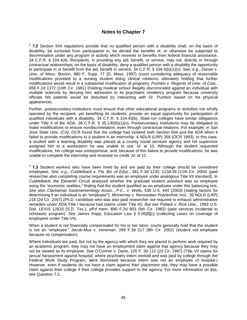#### **Notes to Chapter 7**

<sup>1</sup> **7.2** Section 504 regulations provide that no qualified person with a disability shall, on the basis of disability, be excluded from participation in, be denied the benefits of, or otherwise be subjected to discrimination under any program or activity which receives or benefits from federal financial assistance. 34 C.F.R. § 104.4(4). Recipients, in providing any aid, benefit, or service, may not, directly or through contractual relationships, on the basis of disability, deny a qualified person with a disability the opportunity to participate in or benefit from the aid, benefit or service. 34 C.F.R. § 104.4(b)(1)(v). *See, e.g.*, *Darian v. Univ. of Mass. Boston*, 980 F. Supp. 77 (D. Mass. 1997) (court considering adequacy of reasonable modifications provided to a nursing student doing clinical rotations, ultimately holding that further modifications would result in a substantial modification of program); *Pushkin v. Regents of Univ. of Colo.*, 658 F.2d 1372 (10th Cir. 1981) (holding medical school illegally discriminated against an individual with multiple sclerosis by denying him admission to its psychiatric residency program because university officials felt patients would be disturbed by interacting with Dr. Pushkin based on his physical appearance).

Further, postsecondary institutions must ensure that other educational programs or activities not wholly operated by the recipient, yet benefiting its students, provide an equal opportunity for participation of qualified individuals with a disability. 34 C.F.R. § 104.43(b). State-run colleges have similar obligations under Title II of the ADA. 28 C.F.R. § 35.130(b)(1)(v). Postsecondary institutions may be obligated to make modifications to ensure nondiscrimination, even through contractual relations. For example, in *San Jose State Univ. (CA)*, OCR found that the college had violated both Section 504 and the ADA when it failed to provide modifications to a student in an internship. 4 NDLR (LRP) 358 (OCR 1993). In this case, a student with a learning disability was placed at a county social services agency and his supervisor assigned him to a workstation he was unable to use. *Id*. at 10. Although the student requested modifications, his college was unresponsive, and, because of this failure to provide modifications, he was unable to complete the internship and received no credit. *Id*. at 12.

<sup>2</sup> 7.3 Student workers who have been hired by and are paid by their college should be considered employees. *See, e.g.*, *Cuddelback v. Fla. Bd. of Educ.*, 381 F.3d 1230, 1234-35 (11th Cir. 2004) (paid researcher also completing course requirements was an employee under analogous Title VII standard). In *Cuddelback,* the Eleventh Circuit analyzed whether the graduate student assistant was an employee using the "economic realities," finding that the student qualified as an employee under this balancing test. *See also Clackamas Gastroenterology Assoc., P.C., v. Wells*, 538 U.S. 440 (2003) (stating factors for determining if an individual is an "employee"); *McInerney v. Rensselaer Polytechnic Inst.*, 35 NDLR (LRP) 218 (2d Cir. 2007) (Ph.D. candidate who was also paid researcher not required to exhaust administrative remedies under ADA Title I because had claims under Title III); *But see Pollack v. Rice Univ.*, 1982 U.S. Dist. LEXIS 12633 (S.D. Tex.), *aff'd mem.* 690 F.2d 903 (5th Cir. 1982) (paid services incidental to scholastic program). *See* James Rapp, Education Law § 6.05[8][c] (collecting cases on coverage of employees under Title VII).

When a student is not financially compensated for his or her labor, courts generally hold that the student is not an "employee." *Jacob-Mua v. Veneman*, 289 F.3d 517 (8th Cir. 2002) (student not employee because no compensation).

Where individuals are paid, but not by the agency with which they are placed to perform work required by an academic program, they may not have an employment claim against that agency because they may not be viewed as its employee. *See O'Connor v. Davis*, 126 F. 3d 112 (2d Cir. 1997) (Title VII claims for sexual harassment against hospital, where psychiatry intern worked and was paid by college through the Federal Work Study Program, were dismissed because intern was not an employee of hospital.) However, even if students do not have a claim against their placement site, they may have a possible claim against their college if their college provides support to the agency. For more information on this, see Question 7.2.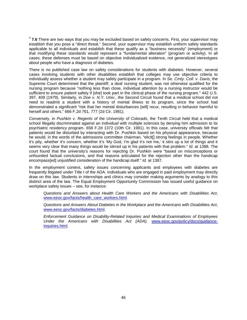<sup>3</sup> 7.6 There are two ways that you may be excluded based on safety concerns. First, your supervisor may establish that you pose a "direct threat." Second, your supervisor may establish uniform safety standards applicable to all individuals and establish that these qualify as a "business necessity" (employment) or that modifying these standards would represent a "fundamental alteration" (program or activity). In all cases, these defenses must be based on objective individualized evidence, not generalized stereotypes about people who have a diagnosis of diabetes.

There is no published case law on safety considerations for students with diabetes. However, several cases involving students with other disabilities establish that colleges may use objective criteria to individually assess whether a student may safely participate in a program. In *Se. Cmty. Coll. v. Davis*, the Supreme Court determined that the plaintiff, a deaf nursing student, was not otherwise qualified for the nursing program because "nothing less than close, individual attention by a nursing instructor would be sufficient to ensure patient safety if [she] took part in the clinical phase of the nursing program." 442 U.S. 397, 409 (1979). Similarly, in *Doe v. N.Y. Univ.*, the Second Circuit found that a medical school did not need to readmit a student with a history of mental illness to its program, since the school had demonstrated a significant "risk that her mental disturbances [will] recur, resulting in behavior harmful to herself and others." 666 F.2d 761, 777 (2d Cir. 1981).

Conversely, in *Pushkin v. Regents of the University of Colorado*, the Tenth Circuit held that a medical school illegally discriminated against an individual with multiple sclerosis by denying him admission to its psychiatric residency program. 658 F.2d 1372 (10th Cir. 1981). In this case, university officials felt that patients would be disturbed by interacting with Dr. Pushkin based on his physical appearance, because he would, in the words of the admissions committee chairman, "elicit[] strong feelings in people. Whether it's pity, whether it's concern, whether it's 'My God, I'm glad it's not me,' it stirs up a lot of things and it seems very clear that many things would be stirred up in his patients with that problem." *Id.* at 1388. The court found that the university's reasons for rejecting Dr. Pushkin were "based on misconceptions or unfounded factual conclusions, and that reasons articulated for the rejection other than the handicap encompass[ed] unjustified consideration of the handicap itself." *Id.* at 1387.

In the employment context, safety issues concerning applicants and employees with diabetes are frequently litigated under Title I of the ADA. Individuals who are engaged in paid employment may directly draw on this law. Students in internships and clinics may consider making arguments by analogy to this distinct area of the law. The Equal Employment Opportunity Commission has issued useful guidance on workplace safety issues – see, for instance:

*Questions and Answers about Health Care Workers and the Americans with Disabilities Act*, [www.eeoc.gov/facts/health\\_care\\_workers.html.](http://www.eeoc.gov/facts/health_care_workers.html)

*Questions and Answers About Diabetes in the Workplace and the Americans with Disabilities Act*, [www.eeoc.gov/facts/diabetes.html.](http://www.eeoc.gov/facts/diabetes.html)

*Enforcement Guidance on Disability-Related Inquiries and Medical Examinations of Employees Under the Americans with Disabilities Act (ADA),* [www.eeoc.gov/policy/docs/guidance](http://www.eeoc.gov/policy/docs/guidance-inquiries.html)[inquiries.html.](http://www.eeoc.gov/policy/docs/guidance-inquiries.html)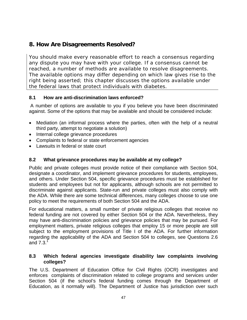# **8. How Are Disagreements Resolved?**

You should make every reasonable effort to reach a consensus regarding any dispute you may have with your college. If a consensus cannot be reached, a number of methods are available to resolve disagreements. The available options may differ depending on which law gives rise to the right being asserted; this chapter discusses the options available under the federal laws that protect individuals with diabetes.

## **8.1 How are anti-discrimination laws enforced?**

A number of options are available to you if you believe you have been discriminated against. Some of the options that may be available and should be considered include:

- Mediation (an informal process where the parties, often with the help of a neutral third party, attempt to negotiate a solution)
- Internal college grievance procedures
- Complaints to federal or state enforcement agencies
- Lawsuits in federal or state court

## **8.2 What grievance procedures may be available at my college?**

Public and private colleges must provide notice of their compliance with Section 504, designate a coordinator, and implement grievance procedures for students, employees, and others. Under Section 504, specific grievance procedures must be established for students and employees but not for applicants, although schools are not permitted to discriminate against applicants. State-run and private colleges must also comply with the ADA. While there are some technical differences, many colleges choose to use one policy to meet the requirements of both Section 504 and the ADA.

For educational matters, a small number of private religious colleges that receive no federal funding are not covered by either Section 504 or the ADA. Nevertheless, they may have anti-discrimination policies and grievance policies that may be pursued. For employment matters, private religious colleges that employ 15 or more people are still subject to the employment provisions of Title I of the ADA. For further information regarding the applicability of the ADA and Section 504 to colleges, see Questions 2.6 and 7.3. $<sup>1</sup>$ </sup>

#### **8.3 Which federal agencies investigate disability law complaints involving colleges?**

The U.S. Department of Education Office for Civil Rights (OCR) investigates and enforces complaints of discrimination related to college programs and services under Section 504 (if the school's federal funding comes through the Department of Education, as it normally will). The Department of Justice has jurisdiction over such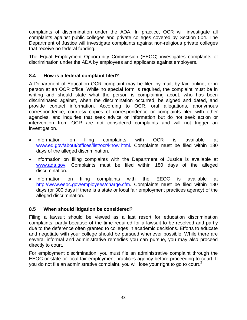complaints of discrimination under the ADA. In practice, OCR will investigate all complaints against public colleges and private colleges covered by Section 504. The Department of Justice will investigate complaints against non-religious private colleges that receive no federal funding.

The Equal Employment Opportunity Commission (EEOC) investigates complaints of discrimination under the ADA by employees and applicants against employers.

## **8.4 How is a federal complaint filed?**

A Department of Education OCR complaint may be filed by mail, by fax, online, or in person at an OCR office. While no special form is required, the complaint must be in writing and should state what the person is complaining about, who has been discriminated against, when the discrimination occurred, be signed and dated, and provide contact information. According to OCR, oral allegations, anonymous correspondence, courtesy copies of correspondence or complaints filed with other agencies, and inquiries that seek advice or information but do not seek action or intervention from OCR are not considered complaints and will not trigger an investigation.

- Information on filing complaints with OCR is available at [www.ed.gov/about/offices/list/ocr/know.html.](http://www.ed.gov/about/offices/list/ocr/know.html) Complaints must be filed within 180 days of the alleged discrimination.
- Information on filing complaints with the Department of Justice is available at [www.ada.gov.](http://www.ada.gov/) Complaints must be filed within 180 days of the alleged discrimination.
- Information on filing complaints with the EEOC is available at [http://www.eeoc.gov/employees/charge.cfm.](http://www.eeoc.gov/employees/charge.cfm) Complaints must be filed within 180 days (or 300 days if there is a state or local fair employment practices agency) of the alleged discrimination.

## **8.5 When should litigation be considered?**

Filing a lawsuit should be viewed as a last resort for education discrimination complaints, partly because of the time required for a lawsuit to be resolved and partly due to the deference often granted to colleges in academic decisions. Efforts to educate and negotiate with your college should be pursued whenever possible. While there are several informal and administrative remedies you can pursue, you may also proceed directly to court.

For employment discrimination, you must file an administrative complaint through the EEOC or state or local fair employment practices agency before proceeding to court. If you do not file an administrative complaint, you will lose your right to go to court.<sup>2</sup>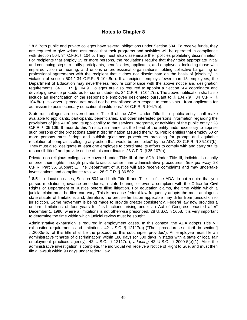#### **Notes to Chapter 8**

<sup>1</sup> **8.2** Both public and private colleges have several obligations under Section 504. To receive funds, they are required to give written assurance that their programs and activities will be operated in compliance with Section 504. 34 C.F.R. § 104.5. They must also disseminate their policies prohibiting discrimination. For recipients that employ 15 or more persons, the regulations require that they "take appropriate initial and continuing steps to notify participants, beneficiaries, applicants, and employees, including those with impaired vision or hearing, and unions or professional organizations holding collective bargaining or professional agreements with the recipient that it does not discriminate on the basis of [disability] in violation of section 504." 34 C.F.R. § 104.8(a). If a recipient employs fewer than 15 employees, the Department of Education may nevertheless require compliance with the above notice and designation requirements. 34 C.F.R. § 104.9. Colleges are also required to appoint a Section 504 coordinator and develop grievance procedures for current students. 34 C.F.R. § 104.7(a). The above notification shall also include an identification of the responsible employee designated pursuant to § 104.7(a). 34 C.F.R. § 104.8(a). However, "procedures need not be established with respect to complaints…from applicants for admission to postsecondary educational institutions." 34 C.F.R. § 104.7(b).

State-run colleges are covered under Title II of the ADA. Under Title II, a "public entity shall make available to applicants, participants, beneficiaries, and other interested persons information regarding the provisions of [the ADA] and its applicability to the services, programs, or activities of the public entity." 28 C.F.R. § 35.106. It must do this "in such a manner as the head of the entity finds necessary to apprise such persons of the protections against discrimination assured them." *Id.* Public entities that employ 50 or more persons must "adopt and publish grievance procedures providing for prompt and equitable resolution of complaints alleging any action that would be prohibited" by the ADA. 28 C.F.R. § 35.107(b). They must also "designate at least one employee to coordinate its efforts to comply with and carry out its responsibilities" and provide notice of this coordinator. 28 C.F.R. § 35.107(a).

Private non-religious colleges are covered under Title III of the ADA. Under Title III, individuals usually enforce their rights through private lawsuits rather than administrative procedures. *See generally* 28 C.F.R. Part 36, Subpart E. The Department of Justice will also receive complaints and may undertake investigations and compliance reviews. 28 C.F.R. § 36.502.

<sup>2</sup> 8.5 In education cases, Section 504 and both Title II and Title III of the ADA do not require that you pursue mediation, grievance procedures, a state hearing, or even a complaint with the Office for Civil Rights or Department of Justice before filing litigation. For education claims, the time within which a judicial claim must be filed can vary. This is because federal law frequently adopts the most analogous state statute of limitations and, therefore, the precise limitation applicable may differ from jurisdiction to jurisdiction. Some movement is being made to provide greater consistency. Federal law now provides a uniform limitations of four years for "civil actions arising under an Act of Congress enacted after" December 1, 1990, where a limitations is not otherwise prescribed. 28 U.S.C. § 1658. It is very important to determine the time within which judicial review must be sought.

Administrative exhaustion is required in employment cases. In this context, the ADA adopts Title VII exhaustion requirements and limitations. 42 U.S.C. § 12117(a) ("The...procedures set forth in section[] …2000e-5…of this title shall be the procedures this subchapter provides"). An employee must file an administrative "charge of discrimination" within 180 days (or 300 days in states with a state or local fair employment practices agency). 42 U.S.C. § 12117(a), *adopting* 42 U.S.C. § 2000-5(e)(1). After the administrative investigation is complete, the individual will receive a Notice of Right to Sue, and must then file a lawsuit within 90 days under federal law.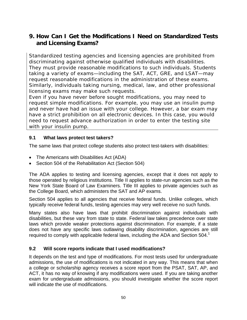# **9. How Can I Get the Modifications I Need on Standardized Tests and Licensing Exams?**

Standardized testing agencies and licensing agencies are prohibited from discriminating against otherwise qualified individuals with disabilities. They must provide reasonable modifications to such individuals. Students taking a variety of exams—including the SAT, ACT, GRE, and LSAT—may request reasonable modifications in the administration of these exams. Similarly, individuals taking nursing, medical, law, and other professional licensing exams may make such requests.

Even if you have never before sought modifications, you may need to request simple modifications. For example, you may use an insulin pump and never have had an issue with your college. However, a bar exam may have a strict prohibition on all electronic devices. In this case, you would need to request advance authorization in order to enter the testing site with your insulin pump.

## **9.1 What laws protect test takers?**

The same laws that protect college students also protect test-takers with disabilities:

- The Americans with Disabilities Act (ADA)
- Section 504 of the Rehabilitation Act (Section 504)

The ADA applies to testing and licensing agencies, except that it does not apply to those operated by religious institutions. Title II applies to state-run agencies such as the New York State Board of Law Examiners. Title III applies to private agencies such as the College Board, which administers the SAT and AP exams.

Section 504 applies to all agencies that receive federal funds. Unlike colleges, which typically receive federal funds, testing agencies may very well receive no such funds.

Many states also have laws that prohibit discrimination against individuals with disabilities, but these vary from state to state. Federal law takes precedence over state laws which provide weaker protections against discrimination. For example, if a state does not have any specific laws outlawing disability discrimination, agencies are still required to comply with applicable federal laws, including the ADA and Section  $504<sup>1</sup>$ 

## **9.2 Will score reports indicate that I used modifications?**

It depends on the test and type of modifications. For most tests used for undergraduate admissions, the use of modifications is not indicated in any way. This means that when a college or scholarship agency receives a score report from the PSAT, SAT, AP, and ACT, it has no way of knowing if any modifications were used. If you are taking another exam for undergraduate admissions, you should investigate whether the score report will indicate the use of modifications.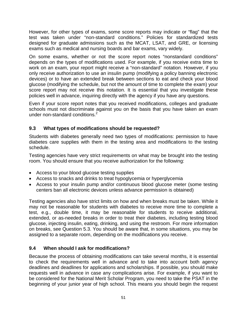However, for other types of exams, some score reports may indicate or "flag" that the test was taken under "non-standard conditions." Policies for standardized tests designed for graduate admissions such as the MCAT, LSAT, and GRE, or licensing exams such as medical and nursing boards and bar exams, vary widely.

On some exams, whether or not the score report notes "nonstandard conditions" depends on the types of modifications used. For example, if you receive extra time to work on an exam, your report might receive a "non-standard" notation. However, if you only receive authorization to use an insulin pump (modifying a policy banning electronic devices) or to have an extended break between sections to eat and check your blood glucose (modifying the schedule, but not the amount of time to complete the exam) your score report may not receive this notation. It is essential that you investigate these policies well in advance, inquiring directly with the agency if you have any questions.

Even if your score report notes that you received modifications, colleges and graduate schools must not discriminate against you on the basis that you have taken an exam under non-standard conditions.<sup>2</sup>

## **9.3 What types of modifications should be requested?**

Students with diabetes generally need two types of modifications: permission to have diabetes care supplies with them in the testing area and modifications to the testing schedule.

Testing agencies have very strict requirements on what may be brought into the testing room. You should ensure that you receive authorization for the following:

- Access to your blood glucose testing supplies
- Access to snacks and drinks to treat hypoglycemia or hyperglycemia
- Access to your insulin pump and/or continuous blood glucose meter (some testing centers ban all electronic devices unless advance permission is obtained)

Testing agencies also have strict limits on how and when breaks must be taken. While it may not be reasonable for students with diabetes to receive more time to complete a test, e.g., double time, it may be reasonable for students to receive additional, extended, or as-needed breaks in order to treat their diabetes, including testing blood glucose, injecting insulin, eating, drinking, and using the restroom. For more information on breaks, see Question 5.3. You should be aware that, in some situations, you may be assigned to a separate room, depending on the modifications you receive.

## **9.4 When should I ask for modifications?**

Because the process of obtaining modifications can take several months, it is essential to check the requirements well in advance and to take into account both agency deadlines and deadlines for applications and scholarships. If possible, you should make requests well in advance in case any complications arise. For example, if you want to be considered for the National Merit Scholar Program, you need to take the PSAT in the beginning of your junior year of high school. This means you should begin the request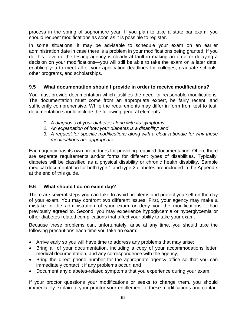process in the spring of sophomore year. If you plan to take a state bar exam, you should request modifications as soon as it is possible to register.

In some situations, it may be advisable to schedule your exam on an earlier administration date in case there is a problem in your modifications being granted. If you do this—even if the testing agency is clearly at fault in making an error or delaying a decision on your modifications—you will still be able to take the exam on a later date, enabling you to meet all of your application deadlines for colleges, graduate schools, other programs, and scholarships.

## **9.5 What documentation should I provide in order to receive modifications?**

You must provide documentation which justifies the need for reasonable modifications. The documentation must come from an appropriate expert, be fairly recent, and sufficiently comprehensive. While the requirements may differ in form from test to test, documentation should include the following general elements:

- *1. A diagnosis of your diabetes along with its symptoms;*
- *2. An explanation of how your diabetes is a disability; and*
- *3. A request for specific modifications along with a clear rationale for why these modifications are appropriate.*

Each agency has its own procedures for providing required documentation. Often, there are separate requirements and/or forms for different types of disabilities. Typically, diabetes will be classified as a physical disability or chronic health disability. Sample medical documentation for both type 1 and type 2 diabetes are included in the Appendix at the end of this guide.

## **9.6 What should I do on exam day?**

There are several steps you can take to avoid problems and protect yourself on the day of your exam. You may confront two different issues. First, your agency may make a mistake in the administration of your exam or deny you the modifications it had previously agreed to. Second, you may experience hypoglycemia or hyperglycemia or other diabetes-related complications that affect your ability to take your exam.

Because these problems can, unfortunately, arise at any time, you should take the following precautions each time you take an exam:

- Arrive early so you will have time to address any problems that may arise;
- Bring all of your documentation, including a copy of your accommodations letter, medical documentation, and any correspondence with the agency;
- Bring the direct phone number for the appropriate agency office so that you can immediately contact it if any problems occur; and
- Document any diabetes-related symptoms that you experience during your exam.

If your proctor questions your modifications or seeks to change them, you should immediately explain to your proctor your entitlement to these modifications and contact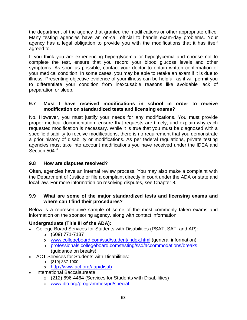the department of the agency that granted the modifications or other appropriate office. Many testing agencies have an on-call official to handle exam-day problems. Your agency has a legal obligation to provide you with the modifications that it has itself agreed to.

If you think you are experiencing hyperglycemia or hypoglycemia and choose not to complete the test, ensure that you record your blood glucose levels and other symptoms. As soon as possible, contact your doctor to obtain written confirmation of your medical condition. In some cases, you may be able to retake an exam if it is due to illness. Presenting objective evidence of your illness can be helpful, as it will permit you to differentiate your condition from inexcusable reasons like avoidable lack of preparation or sleep.

#### **9.7 Must I have received modifications in school in order to receive modification on standardized tests and licensing exams?**

No. However, you must justify your needs for any modifications. You must provide proper medical documentation, ensure that requests are timely, and explain why each requested modification is necessary. While it is true that you must be diagnosed with a specific disability to receive modifications, there is no requirement that you demonstrate a prior history of disability or modifications. As per federal regulations, private testing agencies must take into account modifications you have received under the IDEA and Section 504.<sup>3</sup>

## **9.8 How are disputes resolved?**

Often, agencies have an internal review process. You may also make a complaint with the Department of Justice or file a complaint directly in court under the ADA or state and local law. For more information on resolving disputes, see Chapter 8.

#### **9.9 What are some of the major standardized tests and licensing exams and where can I find their procedures?**

Below is a representative sample of some of the most commonly taken exams and information on the sponsoring agency, along with contact information.

## **Undergraduate (Title III of the ADA):**

- College Board Services for Students with Disabilities (PSAT, SAT, and AP):
	- $\circ$  (609) 771-7137
	- o [www.collegeboard.com/ssd/student/index.html](http://www.collegeboard.com/ssd/student/index.html) (general information)
	- o [professionals.collegeboard.com/testing/ssd/accommodations/breaks](http://professionals.collegeboard.com/testing/ssd/accommodations/breaks) (guidance on breaks)
- ACT Services for Students with Disabilities:
	- $O(319)$  337-1000
	- o <http://www.act.org/aap/disab>
- International Baccalaureate:
	- o (212) 696-4464 (Services for Students with Disabilities)
	- o [www.ibo.org/programmes/pd/special](http://www.ibo.org/programmes/pd/special)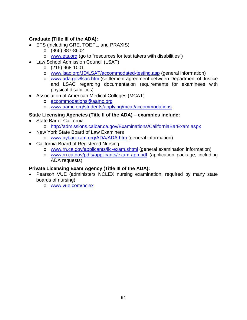## **Graduate (Title III of the ADA):**

- ETS (including GRE, TOEFL, and PRAXIS)
	- o (866) 387-8602
	- o [www.ets.org](http://www.ets.org/) (go to "resources for test takers with disabilities")
- Law School Admission Council (LSAT)
	- o (215) 968-1001
	- o [www.lsac.org/JD/LSAT/accommodated-testing.asp](http://www.lsac.org/JD/LSAT/accommodated-testing.asp) (general information)
	- o [www.ada.gov/lsac.htm](http://www.ada.gov/lsac.htm) (settlement agreement between Department of Justice and LSAC regarding documentation requirements for examinees with physical disabilities)
- Association of American Medical Colleges (MCAT)
	- o [accommodations@aamc.org](mailto:accommodations@aamc.org)
	- o [www.aamc.org/students/applying/mcat/accommodations](http://www.aamc.org/students/applying/mcat/accommodations)

## **State Licensing Agencies (Title II of the ADA) – examples include:**

- State Bar of California
	- o <http://admissions.calbar.ca.gov/Examinations/CaliforniaBarExam.aspx>
- New York State Board of Law Examiners
	- o [www.nybarexam.org/ADA/ADA.htm](http://www.nybarexam.org/ADA/ADA.htm) (general information)
- California Board of Registered Nursing
	- o [www.rn.ca.gov/applicants/lic-exam.shtml](http://www.rn.ca.gov/applicants/lic-exam.shtml) (general examination information)
	- o [www.rn.ca.gov/pdfs/applicants/exam-app.pdf](http://www.rn.ca.gov/pdfs/applicants/exam-app.pdf) (application package, including ADA requests)

## **Private Licensing Exam Agency (Title III of the ADA):**

- Pearson VUE (administers NCLEX nursing examination, required by many state boards of nursing)
	- o [www.vue.com/nclex](http://www.vue.com/nclex)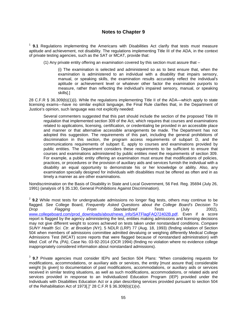#### **Notes to Chapter 9**

<sup>1</sup> **9.1** Regulations implementing the Americans with Disabilities Act clarify that tests must measure aptitude and achievement, not disability. The regulations implementing Title III of the ADA, in the context of private testing agencies, such as the SAT or MCAT, provide that:

(1) Any private entity offering an examination covered by this section must assure that –

(i) The examination is selected and administered so as to best ensure that, when the examination is administered to an individual with a disability that impairs sensory, manual, or speaking skills, the examination results accurately reflect the individual's aptitude or achievement level or whatever other factor the examination purports to measure, rather than reflecting the individual's impaired sensory, manual, or speaking skills[.]

28 C.F.R § 36.309(b)(1)(i). While the regulations implementing Title II of the ADA—which apply to state licensing exams—have no similar explicit language, the Final Rule clarifies that, in the Department of Justice's opinion, such language was not explicitly needed:

Several commenters suggested that this part should include the section of the proposed Title III regulation that implemented section 309 of the Act, which requires that courses and examinations related to applications, licensing, certification, or credentialing be provided in an accessible place and manner or that alternative accessible arrangements be made. The Department has not adopted this suggestion. The requirements of this part, including the general prohibitions of discrimination in this section, the program access requirements of subpart D, and the communications requirements of subpart E, apply to courses and examinations provided by public entities. The Department considers these requirements to be sufficient to ensure that courses and examinations administered by public entities meet the requirements of section 309. For example, a public entity offering an examination must ensure that modifications of policies, practices, or procedures or the provision of auxiliary aids and services furnish the individual with a disability an equal opportunity to demonstrate his or her knowledge or ability. Also, any examination specially designed for individuals with disabilities must be offered as often and in as timely a manner as are other examinations.

Nondiscrimination on the Basis of Disability in State and Local Government, 56 Fed. Reg. 35694 (July 26, 1991) (analysis of § 35.130, General Prohibitions Against Discrimination).

<sup>2</sup> 9.2 While most tests for undergraduate admissions no longer flag tests, others may continue to be flagged*. See* College Board, *Frequently Asked Questions about the College Board's Decision To Drop Flagging From Standardized Tests* (July 2002)*,*  [www.collegeboard.com/prod\\_downloads/about/news\\_info/SATFlagFAQ72402B.pdf.](http://www.collegeboard.com/prod_downloads/about/news_info/SATFlagFAQ72402B.pdf) Even if a score report is flagged by the agency administering the test, entities making admissions and licensing decisions may not give different weight to scores achieved on tests taken under nonstandard conditions. *Compare SUNY Health Sci. Ctr. at Brooklyn (NY),* 5 NDLR (LRP) 77 (Aug. 18, 1993) (finding violation of Section 504 when members of admissions committee admitted devaluing or weighing differently Medical College Admissions Test (MCAT) score reports that were flagged because of nonstandard administration) *with Med. Coll. of Pa. (PA)*, Case No. 03-92-2014 (OCR 1994) (finding no violation where no evidence college inappropriately considered information about nonstandard admissions).

<sup>3</sup> **9.7** Private agencies must consider IEPs and Section 504 Plans: "When considering requests for modifications, accommodations, or auxiliary aids or services, the entity [must assure that] considerable weight [is given] to documentation of past modifications, accommodations, or auxiliary aids or services received in similar testing situations, as well as such modifications, accommodations, or related aids and services provided in response to an Individualized Education Program (IEP) provided under the Individuals with Disabilities Education Act or a plan describing services provided pursuant to section 504 of the Rehabilitation Act of 1973[.]" 28 C.F.R § 36.309(b)(1)(v).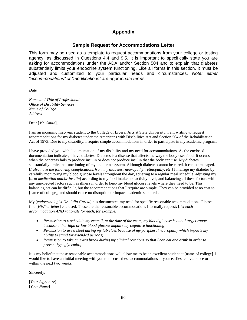#### **Appendix**

#### **Sample Request for Accommodations Letter**

This form may be used as a template to request accommodations from your college or testing agency, as discussed in Questions 4.4 and 9.5. It is important to specifically state you are asking for accommodations under the ADA and/or Section 504 and to explain that diabetes substantially limits your endocrine system functioning. Like all forms in this section, it must be adjusted and customized to your particular needs and circumstances. *Note: either "accommodations" or "modifications" are appropriate terms.* 

*Date*

*Name and Title of Professional Office of Disability Services Name of College Address*

Dear [*Mr. Smith*],

I am an incoming first-year student to the College of Liberal Arts at State University. I am writing to request accommodations for my diabetes under the Americans with Disabilities Act and Section 504 of the Rehabilitation Act of 1973. Due to my disability, I require simple accommodations in order to participate in my academic program.

I have provided you with documentation of my disability and my need for accommodations. As the enclosed documentation indicates, I have diabetes. Diabetes is a disease that affects the way the body uses food. It occurs when the pancreas fails to produce insulin or does not produce insulin that the body can use. My diabetes, substantially limits the functioning of my endocrine system. Although diabetes cannot be cured, it can be managed. [*I also have the following complications from my diabetes: neuropathy, retinopathy, etc.*] I manage my diabetes by carefully monitoring my blood glucose levels throughout the day, adhering to a regular meal schedule, adjusting my [*oral medication and/or insulin*] according to my food intake and activity level, and balancing all these factors with any unexpected factors such as illness in order to keep my blood glucose levels where they need to be. This balancing act can be difficult, but the accommodations that I require are simple. They can be provided at no cost to [name of college], and should cause no disruption or impact academic standards.

My [*endocrinologist Dr*. *Julia Garcia*] has documented my need for specific reasonable accommodations. Please find [*His/her letter*] enclosed. These are the reasonable accommodations I formally request: [*list each accommodation AND rationale for each, for example:*

- *Permission to reschedule my exam if, at the time of the exam, my blood glucose is out of target range because either high or low blood glucose impairs my cognitive functioning;*
- *Permission to use a stool during my lab class because of my peripheral neuropathy which impacts my ability to stand for extended periods;*
- *Permission to take an extra break during my clinical rotations so that I can eat and drink in order to prevent hypoglycemia.]*

It is my belief that these reasonable accommodations will allow me to be an excellent student at [name of college]. I would like to have an initial meeting with you to discuss these accommodations at your earliest convenience or within the next two weeks.

Sincerely,

[*Your Signature*] [*Your Name*]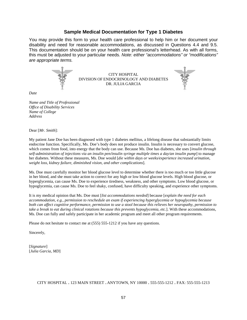#### **Sample Medical Documentation for Type 1 Diabetes**

You may provide this form to your health care professional to help him or her document your disability and need for reasonable accommodations, as discussed in Questions 4.4 and 9.5. This documentation should be on your health care professional's letterhead. As with all forms, this must be adjusted to your particular needs. *Note: either "accommodations" or "modifications" are appropriate terms.* 



CITY HOSPITAL DIVISION OF ENDOCRINOLOGY AND DIABETES DR. JULIA GARCIA

*Date*

*Name and Title of Professional Office of Disability Services Name of College Address*

Dear [*Mr. Smith*]:

My patient Jane Doe has been diagnosed with type 1 diabetes mellitus, a lifelong disease that substantially limits endocrine function. Specifically, Ms. Doe's body does not produce insulin. Insulin is necessary to convert glucose, which comes from food, into energy that the body can use. Because Ms. Doe has diabetes, she uses [*insulin through self-administration of injections via an insulin pen/insulin syringe multiple times a day/an insulin pump*] to manage her diabetes. Without these measures, Ms. Doe would [*die within days or weeks/experience increased urination*, *weight loss, kidney failure, diminished vision, and other complications*].

Ms. Doe must carefully monitor her blood glucose level to determine whether there is too much or too little glucose in her blood, and she must take action to correct for any high or low blood glucose levels. High blood glucose, or hyperglycemia, can cause Ms. Doe to experience tiredness, weakness, and other symptoms. Low blood glucose, or hypoglycemia, can cause Ms. Doe to feel shaky, confused, have difficulty speaking, and experience other symptoms.

It is my medical opinion that Ms. Doe must [*list accommodations needed*] because [*explain the need for each accommodation, e.g., permission to reschedule an exam if experiencing hyperglycemia or hypoglycemia because both can affect cognitive performance, permission to use a stool because this relieves her neuropathy, permission to take a break to eat during clinical rotations because this prevents hypoglycemia, etc.*]. With these accommodations, Ms. Doe can fully and safely participate in her academic program and meet all other program requirements.

Please do not hesitate to contact me at (555) 555-1212 if you have any questions.

Sincerely,

[*Signature*] [*Julia Garcia, MD*]

CITY HOSPITAL • 123 MAIN STREET • ANYTOWN, NY 10000 • 555-555-1212 • FAX: 555-555-1213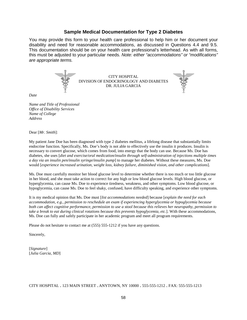#### **Sample Medical Documentation for Type 2 Diabetes**

You may provide this form to your health care professional to help him or her document your disability and need for reasonable accommodations, as discussed in Questions 4.4 and 9.5. This documentation should be on your health care professional's letterhead. As with all forms, this must be adjusted to your particular needs. *Note: either "accommodations" or "modifications" are appropriate terms.* 



CITY HOSPITAL DIVISION OF ENDOCRINOLOGY AND DIABETES DR. JULIA GARCIA



*Name and Title of Professional Office of Disability Services Name of College Address*

Dear [*Mr. Smith*]:

My patient Jane Doe has been diagnosed with type 2 diabetes mellitus, a lifelong disease that substantially limits endocrine function. Specifically, Ms. Doe's body is not able to effectively use the insulin it produces. Insulin is necessary to convert glucose, which comes from food, into energy that the body can use. Because Ms. Doe has diabetes, she uses [*diet and exercise/oral medication/insulin through self-administration of injections multiple times a day via an insulin pen/insulin syringe/insulin pump*] to manage her diabetes. Without these measures, Ms. Doe would [*experience increased urination, weight loss, kidney failure, diminished vision, and other complications*].

Ms. Doe must carefully monitor her blood glucose level to determine whether there is too much or too little glucose in her blood, and she must take action to correct for any high or low blood glucose levels. High blood glucose, or hyperglycemia, can cause Ms. Doe to experience tiredness, weakness, and other symptoms. Low blood glucose, or hypoglycemia, can cause Ms. Doe to feel shaky, confused, have difficulty speaking, and experience other symptoms.

It is my medical opinion that Ms. Doe must [*list accommodations needed*] because [*explain the need for each accommodation, e.g., permission to reschedule an exam if experiencing hyperglycemia or hypoglycemia because both can affect cognitive performance, permission to use a stool because this relieves her neuropathy, permission to take a break to eat during clinical rotations because this prevents hypoglycemia, etc.*]. With these accommodations, Ms. Doe can fully and safely participate in her academic program and meet all program requirements.

Please do not hesitate to contact me at (555) 555-1212 if you have any questions.

Sincerely,

[*Signature*] [*Julia Garcia, MD*]

CITY HOSPITAL • 123 MAIN STREET • ANYTOWN, NY 10000 • 555-555-1212 • FAX: 555-555-1213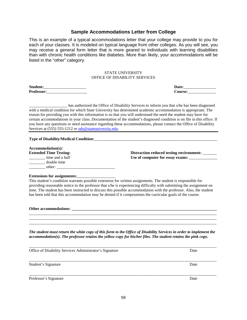has authorized the Office of Disability Services to inform you that s/he has been diagnosed with a medical condition for which State University has determined academic accommodation is appropriate. The reason for providing you with this information is so that you will understand the need the student may have for certain accommodations in your class. Documentation of the student's diagnosed condition is on file in this office. If you have any questions or need assistance regarding these accommodations, please contact the Office of Disability Services at (555) 555-1212 or ods@stateuniversity.edu.

**Type of Disability/Medical Condition:**\_\_\_\_\_\_\_\_\_\_\_\_\_\_\_\_\_\_\_\_\_\_\_\_\_\_\_\_\_\_\_\_\_\_\_\_\_\_\_\_\_\_\_\_\_\_\_\_\_\_\_\_\_\_\_\_\_\_\_\_\_

**Accommodation(s):** \_\_\_\_\_\_\_\_ double time \_\_\_\_\_\_\_\_ other: \_\_\_\_\_\_\_\_\_\_\_\_\_\_\_\_\_\_\_\_\_\_\_\_\_\_\_\_\_

listed in the "other" category*.* 

Professor:

**Extended Time Testing: Distraction reduced testing environment:** \_\_\_\_\_\_\_\_\_\_\_\_\_\_ \_\_\_\_\_\_\_\_ time and a half **Use of computer for essay exams:** \_\_\_\_\_\_\_\_\_\_\_\_\_\_

#### Extensions for assignments:

This student's condition warrants possible extension for written assignments. The student is responsible for providing reasonable notice to the professor that s/he is experiencing difficulty with submitting the assignment on time. The student has been instructed to discuss this possible accommodation with the professor. Also, the student has been told that this accommodation may be denied if it compromises the curricular goals of the course.

**Other** accommodations:

*The student must return the white copy of this form to the Office of Disability Services in order to implement the accommodation(s). The professor retains the yellow copy for his/her files. The student retains the pink copy.*

\_\_\_\_\_\_\_\_\_\_\_\_\_\_\_\_\_\_\_\_\_\_\_\_\_\_\_\_\_\_\_\_\_\_\_\_\_\_\_\_\_\_\_\_\_\_\_\_\_\_\_\_\_\_\_\_\_\_\_\_\_\_\_\_\_\_\_\_\_\_\_\_\_\_\_\_\_\_\_\_\_\_\_\_\_\_\_\_\_\_\_\_\_

\_\_\_\_\_\_\_\_\_\_\_\_\_\_\_\_\_\_\_\_\_\_\_\_\_\_\_\_\_\_\_\_\_\_\_\_\_\_\_\_\_\_\_\_\_\_\_\_\_\_\_\_\_\_\_\_\_\_\_\_\_\_\_\_\_\_\_\_\_\_\_\_\_\_\_\_\_\_\_\_\_\_\_\_\_\_\_\_\_\_\_\_\_ \_\_\_\_\_\_\_\_\_\_\_\_\_\_\_\_\_\_\_\_\_\_\_\_\_\_\_\_\_\_\_\_\_\_\_\_\_\_\_\_\_\_\_\_\_\_\_\_\_\_\_\_\_\_\_\_\_\_\_\_\_\_\_\_\_\_\_\_\_\_\_\_\_\_\_\_\_\_\_\_\_\_\_\_\_\_\_\_\_\_\_\_\_ \_\_\_\_\_\_\_\_\_\_\_\_\_\_\_\_\_\_\_\_\_\_\_\_\_\_\_\_\_\_\_\_\_\_\_\_\_\_\_\_\_\_\_\_\_\_\_\_\_\_\_\_\_\_\_\_\_\_\_\_\_\_\_\_\_\_\_\_\_\_\_\_\_\_\_\_\_\_\_\_\_\_\_\_\_\_\_\_\_\_\_\_\_

| Office of Disability Services Administrator's Signature | Date |
|---------------------------------------------------------|------|
|                                                         |      |
| Student's Signature                                     | Date |
| Professor's Signature                                   | Date |

**Student:**\_\_\_\_\_\_\_\_\_\_\_\_\_\_\_\_\_\_\_\_\_ **Date:**\_\_\_\_\_\_\_\_\_\_\_\_\_\_\_\_

This is an example of a typical accommodations letter that your college may provide to you for

## **Sample Accommodations Letter from College**

each of your classes. It is modeled on typical language from other colleges. As you will see, you may receive a general form letter that is more geared to individuals with learning disabilities than with chronic health conditions like diabetes. More than likely, your accommodations will be

> STATE UNIVERSITY OFFICE OF DISABILITY SERVICES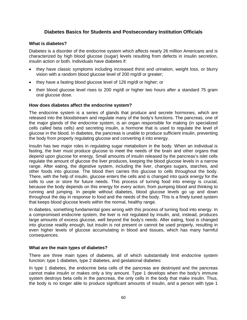#### **Diabetes Basics for Students and Postsecondary Institution Officials**

#### **What is diabetes?**

Diabetes is a disorder of the endocrine system which affects nearly 26 million Americans and is characterized by high blood glucose (sugar) levels resulting from defects in insulin secretion, insulin action or both. Individuals have diabetes if:

- they have classic symptoms including increased thirst and urination, weight loss, or blurry vision with a random blood glucose level of 200 mg/dl or greater;
- they have a fasting blood glucose level of 126 mg/dl or higher; or
- their blood glucose level rises to 200 mg/dl or higher two hours after a standard 75 gram oral glucose dose.

#### **How does diabetes affect the endocrine system?**

The endocrine system is a series of glands that produce and secrete hormones, which are released into the bloodstream and regulate many of the body's functions. The pancreas, one of the major glands of the endocrine system, is an organ responsible for making (in specialized cells called beta cells) and secreting insulin, a hormone that is used to regulate the level of glucose in the blood. In diabetes, the pancreas is unable to produce sufficient insulin, preventing the body from properly regulating glucose and converting it into energy.

Insulin has two major roles in regulating sugar metabolism in the body. When an individual is fasting, the liver must produce glucose to meet the needs of the brain and other organs that depend upon glucose for energy. Small amounts of insulin released by the pancreas's islet cells regulate the amount of glucose the liver produces, keeping the blood glucose levels in a narrow range. After eating, the digestive system, including the liver, changes sugars, starches, and other foods into glucose. The blood then carries this glucose to cells throughout the body. There, with the help of insulin, glucose enters the cells and is changed into quick energy for the cells to use or store for future needs. This process of turning food into energy is crucial, because the body depends on this energy for every action, from pumping blood and thinking to running and jumping. In people without diabetes, blood glucose levels go up and down throughout the day in response to food and the needs of the body. This is a finely tuned system that keeps blood glucose levels within the normal, healthy range.

In diabetes, something fundamental goes wrong with this process of turning food into energy. In a compromised endocrine system, the liver is not regulated by insulin, and, instead, produces large amounts of excess glucose, well beyond the body's needs. After eating, food is changed into glucose readily enough, but insulin is not present or cannot be used properly, resulting in even higher levels of glucose accumulating in blood and tissues, which has many harmful consequences.

#### **What are the main types of diabetes?**

There are three main types of diabetes, all of which substantially limit endocrine system function: type 1 diabetes, type 2 diabetes, and gestational diabetes:

In type 1 diabetes, the endocrine beta cells of the pancreas are destroyed and the pancreas cannot make insulin or makes only a tiny amount. Type 1 develops when the body's immune system destroys beta cells in the pancreas, the only cells in the body that make insulin. Thus, the body is no longer able to produce significant amounts of insulin, and a person with type 1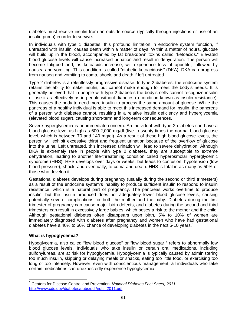diabetes must receive insulin from an outside source (typically through injections or use of an insulin pump) in order to survive.

In individuals with type 1 diabetes, this profound limitation in endocrine system function, if untreated with insulin, causes death within a matter of days. Within a matter of hours, glucose will build up in the blood, accompanied by fat breakdown toxins called "ketoacids." Elevated blood glucose levels will cause increased urination and result in dehydration. The person will become fatigued and, as ketoacids increase, will experience loss of appetite, followed by nausea and vomiting. This condition is called "diabetic ketoacidosis" (DKA). DKA can progress from nausea and vomiting to coma, shock, and death if left untreated.

Type 2 diabetes is a relentlessly progressive disease. In type 2 diabetes, the endocrine system retains the ability to make insulin, but cannot make enough to meet the body's needs. It is generally believed that in people with type 2 diabetes the body's cells cannot recognize insulin or use it as effectively as in people without diabetes (a condition known as insulin resistance). This causes the body to need more insulin to process the same amount of glucose. While the pancreas of a healthy individual is able to meet this increased demand for insulin, the pancreas of a person with diabetes cannot, resulting in a relative insulin deficiency and hyperglycemia (elevated blood sugar), causing short-term and long-term consequences.

Severe hyperglycemia is an immediate concern. An individual with type 2 diabetes can have a blood glucose level as high as 600-2,000 mg/dl (five to twenty times the normal blood glucose level, which is between 70 and 140 mg/dl). As a result of these high blood glucose levels, the person will exhibit excessive thirst and frequent urination because of the overflow of glucose into the urine. Left untreated, this increased urination will lead to severe dehydration. Although DKA is extremely rare in people with type 2 diabetes, they are susceptible to extreme dehydration, leading to another life-threatening condition called hyperosmolar hyperglycemic syndrome (HHS). HHS develops over days or weeks, but leads to confusion, hypotension (low blood pressure), shock, and eventually, to coma and death. HHS is fatal in as many as 50% of those who develop it.

Gestational diabetes develops during pregnancy (usually during the second or third trimesters) as a result of the endocrine system's inability to produce sufficient insulin to respond to insulin resistance, which is a natural part of pregnancy. The pancreas works overtime to produce insulin, but the insulin produced does not adequately lower blood glucose levels, causing potentially severe complications for both the mother and the baby. Diabetes during the first trimester of pregnancy can cause major birth defects, and diabetes during the second and third trimesters can result in excessively large babies, which poses a risk to the mother and the child. Although gestational diabetes often disappears upon birth, 5% to 10% of women are immediately diagnosed with diabetes after pregnancy and women who have had gestational diabetes have a 40% to 60% chance of developing diabetes in the next 5-[1](#page-1-0)0 years.<sup>1</sup>

#### **What is hypoglycemia?**

Hypoglycemia, also called "low blood glucose" or "low blood sugar," refers to abnormally low blood glucose levels. Individuals who take insulin or certain oral medications, including sulfonylureas, are at risk for hypoglycemia. Hypoglycemia is typically caused by administering too much insulin, skipping or delaying meals or snacks, eating too little food, or exercising too long or too intensely. However, even with conscientious management, all individuals who take certain medications can unexpectedly experience hypoglycemia.

<span id="page-70-0"></span><sup>1</sup> Centers for Disease Control and Prevention: *National Diabetes Fact Sheet, 2011*, [http://www.cdc.gov/diabetes/pubs/pdf/ndfs\\_2011.pdf.](http://www.cdc.gov/diabetes/pubs/pdf/ndfs_2011.pdf)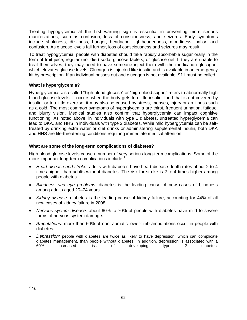Treating hypoglycemia at the first warning sign is essential in preventing more serious manifestations, such as confusion, loss of consciousness, and seizures. Early symptoms include shakiness, dizziness, hunger, headache, lightheadedness, moodiness, pallor, and confusion. As glucose levels fall further, loss of consciousness and seizures may result.

To treat hypoglycemia, people with diabetes should take rapidly absorbable sugar orally in the form of fruit juice, regular (not diet) soda, glucose tablets, or glucose gel. If they are unable to treat themselves, they may need to have someone inject them with the medication glucagon, which elevates glucose levels. Glucagon is injected like insulin and is available in an emergency kit by prescription. If an individual passes out and glucagon is not available, 911 must be called.

#### **What is hyperglycemia?**

Hyperglycemia, also called "high blood glucose" or "high blood sugar," refers to abnormally high blood glucose levels. It occurs when the body gets too little insulin, food that is not covered by insulin, or too little exercise; it may also be caused by stress, menses, injury or an illness such as a cold. The most common symptoms of hyperglycemia are thirst, frequent urination, fatigue, and blurry vision. Medical studies also confirm that hyperglycemia can impact cognitive functioning. As noted above, in individuals with type 1 diabetes, untreated hyperglycemia can lead to DKA, and HHS in individuals with type 2 diabetes. While mild hyperglycemia can be selftreated by drinking extra water or diet drinks or administering supplemental insulin, both DKA and HHS are life-threatening conditions requiring immediate medical attention.

#### **What are some of the long-term complications of diabetes?**

High blood glucose levels cause a number of very serious long-term complications. Some of the more important long-term complications include: $2<sup>2</sup>$  $2<sup>2</sup>$ 

- *Heart disease and stroke:* adults with diabetes have heart disease death rates about 2 to 4 times higher than adults without diabetes. The risk for stroke is 2 to 4 times higher among people with diabetes.
- *Blindness and eye problems:* diabetes is the leading cause of new cases of blindness among adults aged 20–74 years.
- *Kidney disease:* diabetes is the leading cause of kidney failure, accounting for 44% of all new cases of kidney failure in 2008.
- *Nervous system disease:* about 60% to 70% of people with diabetes have mild to severe forms of nervous system damage.
- *Amputations:* more than 60% of nontraumatic lower-limb amputations occur in people with diabetes.
- *Depression:* people with diabetes are twice as likely to have depression, which can complicate diabetes management, than people without diabetes. In addition, depression is associated with a 60% increased risk of developing type 2 diabetes.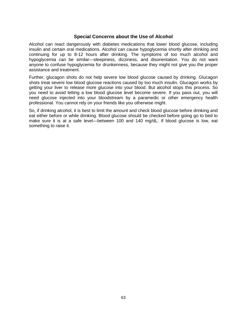# **Special Concerns about the Use of Alcohol**

Alcohol can react dangerously with diabetes medications that lower blood glucose, including insulin and certain oral medications. Alcohol can cause hypoglycemia shortly after drinking and continuing for up to 8-12 hours after drinking. The symptoms of too much alcohol and hypoglycemia can be similar—sleepiness, dizziness, and disorientation. You do not want anyone to confuse hypoglycemia for drunkenness, because they might not give you the proper assistance and treatment.

Further, glucagon shots do not help severe low blood glucose caused by drinking. Glucagon shots treat severe low blood glucose reactions caused by too much insulin. Glucagon works by getting your liver to release more glucose into your blood. But alcohol stops this process. So you need to avoid letting a low blood glucose level become severe. If you pass out, you will need glucose injected into your bloodstream by a paramedic or other emergency health professional. You cannot rely on your friends like you otherwise might.

So, if drinking alcohol, it is best to limit the amount and check blood glucose before drinking and eat either before or while drinking. Blood glucose should be checked before going go to bed to make sure it is at a safe level—between 100 and 140 mg/dL. If blood glucose is low, eat something to raise it.